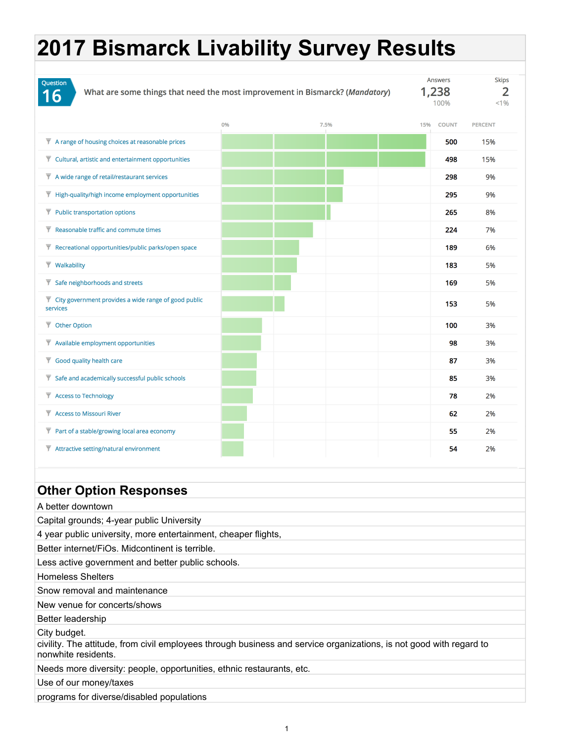| 0%<br>7.5%<br><b>COUNT</b><br><b>PERCENT</b><br>15%<br>$\overline{y}$ A range of housing choices at reasonable prices<br>500<br>15%<br>$\overline{\mathbf{y}}$ Cultural, artistic and entertainment opportunities<br>498<br>15%<br>$\overline{\mathbf{y}}$ A wide range of retail/restaurant services<br>298<br>9%<br>$\overline{\mathbf{y}}$ High-quality/high income employment opportunities<br>295<br>9%<br>$\overline{\mathbf{\nabla}}$ Public transportation options<br>265<br>8%<br>$\overline{\mathbf{Y}}$ Reasonable traffic and commute times<br>224<br>7%<br>$\overline{y}$ Recreational opportunities/public parks/open space<br>189<br>6%<br>$\overline{\mathbf{v}}$ Walkability<br>183<br>5%<br>$\overline{\mathbf{y}}$ Safe neighborhoods and streets<br>169<br>5%<br>$\overline{y}$ City government provides a wide range of good public<br>5%<br>153<br>services<br>$\overline{\mathbf{\nabla}}$ Other Option<br>100<br>3%<br>$\overline{\mathbf{v}}$ Available employment opportunities<br>98<br>3%<br>$\overline{\mathbf{y}}$ Good quality health care<br>87<br>3%<br>$\blacktriangledown$ Safe and academically successful public schools<br>85<br>3%<br>Access to Technology<br>2%<br>78<br>Access to Missouri River<br>2%<br>62<br>$\overline{\mathbf{y}}$ Part of a stable/growing local area economy<br>2%<br>55<br>$\overline{\mathbf{\nabla}}$ Attractive setting/natural environment<br>54<br>2%<br><b>Other Option Responses</b><br>A better downtown<br>Capital grounds; 4-year public University<br>4 year public university, more entertainment, cheaper flights,<br>Better internet/FiOs. Midcontinent is terrible.<br>Less active government and better public schools.<br><b>Homeless Shelters</b><br>Snow removal and maintenance<br>New venue for concerts/shows<br>Better leadership<br>City budget.<br>civility. The attitude, from civil employees through business and service organizations, is not good with regard to<br>nonwhite residents.<br>Needs more diversity: people, opportunities, ethnic restaurants, etc. | Question<br>What are some things that need the most improvement in Bismarck? (Mandatory)<br>16 |  | <b>Answers</b><br>1,238<br>100% | <b>Skips</b><br>2<br>< 1% |
|------------------------------------------------------------------------------------------------------------------------------------------------------------------------------------------------------------------------------------------------------------------------------------------------------------------------------------------------------------------------------------------------------------------------------------------------------------------------------------------------------------------------------------------------------------------------------------------------------------------------------------------------------------------------------------------------------------------------------------------------------------------------------------------------------------------------------------------------------------------------------------------------------------------------------------------------------------------------------------------------------------------------------------------------------------------------------------------------------------------------------------------------------------------------------------------------------------------------------------------------------------------------------------------------------------------------------------------------------------------------------------------------------------------------------------------------------------------------------------------------------------------------------------------------------------------------------------------------------------------------------------------------------------------------------------------------------------------------------------------------------------------------------------------------------------------------------------------------------------------------------------------------------------------------------------------------------------------------------------------------------------------------------------------------------------------|------------------------------------------------------------------------------------------------|--|---------------------------------|---------------------------|
|                                                                                                                                                                                                                                                                                                                                                                                                                                                                                                                                                                                                                                                                                                                                                                                                                                                                                                                                                                                                                                                                                                                                                                                                                                                                                                                                                                                                                                                                                                                                                                                                                                                                                                                                                                                                                                                                                                                                                                                                                                                                  |                                                                                                |  |                                 |                           |
|                                                                                                                                                                                                                                                                                                                                                                                                                                                                                                                                                                                                                                                                                                                                                                                                                                                                                                                                                                                                                                                                                                                                                                                                                                                                                                                                                                                                                                                                                                                                                                                                                                                                                                                                                                                                                                                                                                                                                                                                                                                                  |                                                                                                |  |                                 |                           |
|                                                                                                                                                                                                                                                                                                                                                                                                                                                                                                                                                                                                                                                                                                                                                                                                                                                                                                                                                                                                                                                                                                                                                                                                                                                                                                                                                                                                                                                                                                                                                                                                                                                                                                                                                                                                                                                                                                                                                                                                                                                                  |                                                                                                |  |                                 |                           |
|                                                                                                                                                                                                                                                                                                                                                                                                                                                                                                                                                                                                                                                                                                                                                                                                                                                                                                                                                                                                                                                                                                                                                                                                                                                                                                                                                                                                                                                                                                                                                                                                                                                                                                                                                                                                                                                                                                                                                                                                                                                                  |                                                                                                |  |                                 |                           |
|                                                                                                                                                                                                                                                                                                                                                                                                                                                                                                                                                                                                                                                                                                                                                                                                                                                                                                                                                                                                                                                                                                                                                                                                                                                                                                                                                                                                                                                                                                                                                                                                                                                                                                                                                                                                                                                                                                                                                                                                                                                                  |                                                                                                |  |                                 |                           |
|                                                                                                                                                                                                                                                                                                                                                                                                                                                                                                                                                                                                                                                                                                                                                                                                                                                                                                                                                                                                                                                                                                                                                                                                                                                                                                                                                                                                                                                                                                                                                                                                                                                                                                                                                                                                                                                                                                                                                                                                                                                                  |                                                                                                |  |                                 |                           |
|                                                                                                                                                                                                                                                                                                                                                                                                                                                                                                                                                                                                                                                                                                                                                                                                                                                                                                                                                                                                                                                                                                                                                                                                                                                                                                                                                                                                                                                                                                                                                                                                                                                                                                                                                                                                                                                                                                                                                                                                                                                                  |                                                                                                |  |                                 |                           |
|                                                                                                                                                                                                                                                                                                                                                                                                                                                                                                                                                                                                                                                                                                                                                                                                                                                                                                                                                                                                                                                                                                                                                                                                                                                                                                                                                                                                                                                                                                                                                                                                                                                                                                                                                                                                                                                                                                                                                                                                                                                                  |                                                                                                |  |                                 |                           |
|                                                                                                                                                                                                                                                                                                                                                                                                                                                                                                                                                                                                                                                                                                                                                                                                                                                                                                                                                                                                                                                                                                                                                                                                                                                                                                                                                                                                                                                                                                                                                                                                                                                                                                                                                                                                                                                                                                                                                                                                                                                                  |                                                                                                |  |                                 |                           |
|                                                                                                                                                                                                                                                                                                                                                                                                                                                                                                                                                                                                                                                                                                                                                                                                                                                                                                                                                                                                                                                                                                                                                                                                                                                                                                                                                                                                                                                                                                                                                                                                                                                                                                                                                                                                                                                                                                                                                                                                                                                                  |                                                                                                |  |                                 |                           |
|                                                                                                                                                                                                                                                                                                                                                                                                                                                                                                                                                                                                                                                                                                                                                                                                                                                                                                                                                                                                                                                                                                                                                                                                                                                                                                                                                                                                                                                                                                                                                                                                                                                                                                                                                                                                                                                                                                                                                                                                                                                                  |                                                                                                |  |                                 |                           |
|                                                                                                                                                                                                                                                                                                                                                                                                                                                                                                                                                                                                                                                                                                                                                                                                                                                                                                                                                                                                                                                                                                                                                                                                                                                                                                                                                                                                                                                                                                                                                                                                                                                                                                                                                                                                                                                                                                                                                                                                                                                                  |                                                                                                |  |                                 |                           |
|                                                                                                                                                                                                                                                                                                                                                                                                                                                                                                                                                                                                                                                                                                                                                                                                                                                                                                                                                                                                                                                                                                                                                                                                                                                                                                                                                                                                                                                                                                                                                                                                                                                                                                                                                                                                                                                                                                                                                                                                                                                                  |                                                                                                |  |                                 |                           |
|                                                                                                                                                                                                                                                                                                                                                                                                                                                                                                                                                                                                                                                                                                                                                                                                                                                                                                                                                                                                                                                                                                                                                                                                                                                                                                                                                                                                                                                                                                                                                                                                                                                                                                                                                                                                                                                                                                                                                                                                                                                                  |                                                                                                |  |                                 |                           |
|                                                                                                                                                                                                                                                                                                                                                                                                                                                                                                                                                                                                                                                                                                                                                                                                                                                                                                                                                                                                                                                                                                                                                                                                                                                                                                                                                                                                                                                                                                                                                                                                                                                                                                                                                                                                                                                                                                                                                                                                                                                                  |                                                                                                |  |                                 |                           |
|                                                                                                                                                                                                                                                                                                                                                                                                                                                                                                                                                                                                                                                                                                                                                                                                                                                                                                                                                                                                                                                                                                                                                                                                                                                                                                                                                                                                                                                                                                                                                                                                                                                                                                                                                                                                                                                                                                                                                                                                                                                                  |                                                                                                |  |                                 |                           |
|                                                                                                                                                                                                                                                                                                                                                                                                                                                                                                                                                                                                                                                                                                                                                                                                                                                                                                                                                                                                                                                                                                                                                                                                                                                                                                                                                                                                                                                                                                                                                                                                                                                                                                                                                                                                                                                                                                                                                                                                                                                                  |                                                                                                |  |                                 |                           |
|                                                                                                                                                                                                                                                                                                                                                                                                                                                                                                                                                                                                                                                                                                                                                                                                                                                                                                                                                                                                                                                                                                                                                                                                                                                                                                                                                                                                                                                                                                                                                                                                                                                                                                                                                                                                                                                                                                                                                                                                                                                                  |                                                                                                |  |                                 |                           |
|                                                                                                                                                                                                                                                                                                                                                                                                                                                                                                                                                                                                                                                                                                                                                                                                                                                                                                                                                                                                                                                                                                                                                                                                                                                                                                                                                                                                                                                                                                                                                                                                                                                                                                                                                                                                                                                                                                                                                                                                                                                                  |                                                                                                |  |                                 |                           |
|                                                                                                                                                                                                                                                                                                                                                                                                                                                                                                                                                                                                                                                                                                                                                                                                                                                                                                                                                                                                                                                                                                                                                                                                                                                                                                                                                                                                                                                                                                                                                                                                                                                                                                                                                                                                                                                                                                                                                                                                                                                                  |                                                                                                |  |                                 |                           |
|                                                                                                                                                                                                                                                                                                                                                                                                                                                                                                                                                                                                                                                                                                                                                                                                                                                                                                                                                                                                                                                                                                                                                                                                                                                                                                                                                                                                                                                                                                                                                                                                                                                                                                                                                                                                                                                                                                                                                                                                                                                                  |                                                                                                |  |                                 |                           |
|                                                                                                                                                                                                                                                                                                                                                                                                                                                                                                                                                                                                                                                                                                                                                                                                                                                                                                                                                                                                                                                                                                                                                                                                                                                                                                                                                                                                                                                                                                                                                                                                                                                                                                                                                                                                                                                                                                                                                                                                                                                                  |                                                                                                |  |                                 |                           |
|                                                                                                                                                                                                                                                                                                                                                                                                                                                                                                                                                                                                                                                                                                                                                                                                                                                                                                                                                                                                                                                                                                                                                                                                                                                                                                                                                                                                                                                                                                                                                                                                                                                                                                                                                                                                                                                                                                                                                                                                                                                                  |                                                                                                |  |                                 |                           |
|                                                                                                                                                                                                                                                                                                                                                                                                                                                                                                                                                                                                                                                                                                                                                                                                                                                                                                                                                                                                                                                                                                                                                                                                                                                                                                                                                                                                                                                                                                                                                                                                                                                                                                                                                                                                                                                                                                                                                                                                                                                                  |                                                                                                |  |                                 |                           |
|                                                                                                                                                                                                                                                                                                                                                                                                                                                                                                                                                                                                                                                                                                                                                                                                                                                                                                                                                                                                                                                                                                                                                                                                                                                                                                                                                                                                                                                                                                                                                                                                                                                                                                                                                                                                                                                                                                                                                                                                                                                                  |                                                                                                |  |                                 |                           |
|                                                                                                                                                                                                                                                                                                                                                                                                                                                                                                                                                                                                                                                                                                                                                                                                                                                                                                                                                                                                                                                                                                                                                                                                                                                                                                                                                                                                                                                                                                                                                                                                                                                                                                                                                                                                                                                                                                                                                                                                                                                                  |                                                                                                |  |                                 |                           |
|                                                                                                                                                                                                                                                                                                                                                                                                                                                                                                                                                                                                                                                                                                                                                                                                                                                                                                                                                                                                                                                                                                                                                                                                                                                                                                                                                                                                                                                                                                                                                                                                                                                                                                                                                                                                                                                                                                                                                                                                                                                                  |                                                                                                |  |                                 |                           |
|                                                                                                                                                                                                                                                                                                                                                                                                                                                                                                                                                                                                                                                                                                                                                                                                                                                                                                                                                                                                                                                                                                                                                                                                                                                                                                                                                                                                                                                                                                                                                                                                                                                                                                                                                                                                                                                                                                                                                                                                                                                                  |                                                                                                |  |                                 |                           |
|                                                                                                                                                                                                                                                                                                                                                                                                                                                                                                                                                                                                                                                                                                                                                                                                                                                                                                                                                                                                                                                                                                                                                                                                                                                                                                                                                                                                                                                                                                                                                                                                                                                                                                                                                                                                                                                                                                                                                                                                                                                                  |                                                                                                |  |                                 |                           |
|                                                                                                                                                                                                                                                                                                                                                                                                                                                                                                                                                                                                                                                                                                                                                                                                                                                                                                                                                                                                                                                                                                                                                                                                                                                                                                                                                                                                                                                                                                                                                                                                                                                                                                                                                                                                                                                                                                                                                                                                                                                                  |                                                                                                |  |                                 |                           |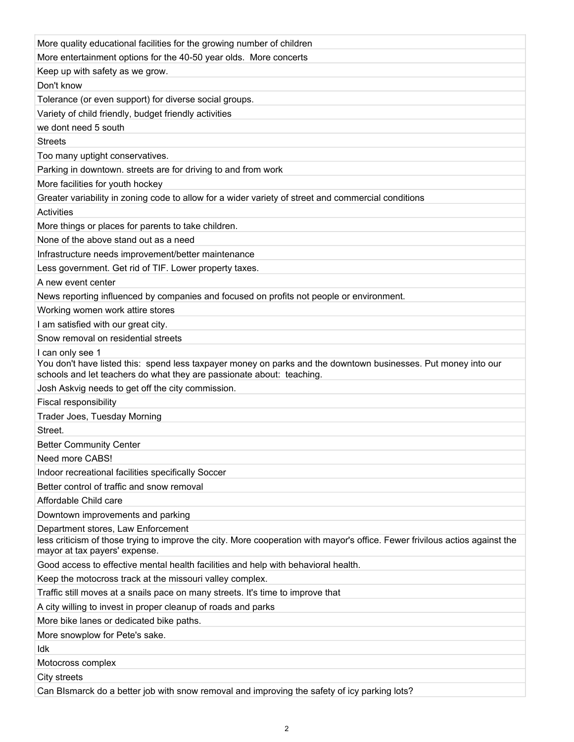| More quality educational facilities for the growing number of children                                                                                                                  |
|-----------------------------------------------------------------------------------------------------------------------------------------------------------------------------------------|
| More entertainment options for the 40-50 year olds. More concerts                                                                                                                       |
| Keep up with safety as we grow.                                                                                                                                                         |
| Don't know                                                                                                                                                                              |
| Tolerance (or even support) for diverse social groups.                                                                                                                                  |
| Variety of child friendly, budget friendly activities                                                                                                                                   |
| we dont need 5 south                                                                                                                                                                    |
| <b>Streets</b>                                                                                                                                                                          |
| Too many uptight conservatives.                                                                                                                                                         |
| Parking in downtown. streets are for driving to and from work                                                                                                                           |
| More facilities for youth hockey                                                                                                                                                        |
| Greater variability in zoning code to allow for a wider variety of street and commercial conditions                                                                                     |
| Activities                                                                                                                                                                              |
| More things or places for parents to take children.                                                                                                                                     |
| None of the above stand out as a need                                                                                                                                                   |
| Infrastructure needs improvement/better maintenance                                                                                                                                     |
| Less government. Get rid of TIF. Lower property taxes.                                                                                                                                  |
| A new event center                                                                                                                                                                      |
| News reporting influenced by companies and focused on profits not people or environment.                                                                                                |
| Working women work attire stores                                                                                                                                                        |
| I am satisfied with our great city.                                                                                                                                                     |
| Snow removal on residential streets                                                                                                                                                     |
| I can only see 1                                                                                                                                                                        |
| You don't have listed this: spend less taxpayer money on parks and the downtown businesses. Put money into our<br>schools and let teachers do what they are passionate about: teaching. |
| Josh Askvig needs to get off the city commission.                                                                                                                                       |
| Fiscal responsibility                                                                                                                                                                   |
| Trader Joes, Tuesday Morning                                                                                                                                                            |
| Street.                                                                                                                                                                                 |
| <b>Better Community Center</b>                                                                                                                                                          |
| Need more CABS!                                                                                                                                                                         |
| Indoor recreational facilities specifically Soccer                                                                                                                                      |
| Better control of traffic and snow removal                                                                                                                                              |
| Affordable Child care                                                                                                                                                                   |
| Downtown improvements and parking                                                                                                                                                       |
| Department stores, Law Enforcement                                                                                                                                                      |
| less criticism of those trying to improve the city. More cooperation with mayor's office. Fewer frivilous actios against the<br>mayor at tax payers' expense.                           |
| Good access to effective mental health facilities and help with behavioral health.                                                                                                      |
| Keep the motocross track at the missouri valley complex.                                                                                                                                |
| Traffic still moves at a snails pace on many streets. It's time to improve that                                                                                                         |
| A city willing to invest in proper cleanup of roads and parks                                                                                                                           |
| More bike lanes or dedicated bike paths.                                                                                                                                                |
| More snowplow for Pete's sake.                                                                                                                                                          |
| ldk                                                                                                                                                                                     |
| Motocross complex                                                                                                                                                                       |
| City streets                                                                                                                                                                            |
| Can BIsmarck do a better job with snow removal and improving the safety of icy parking lots?                                                                                            |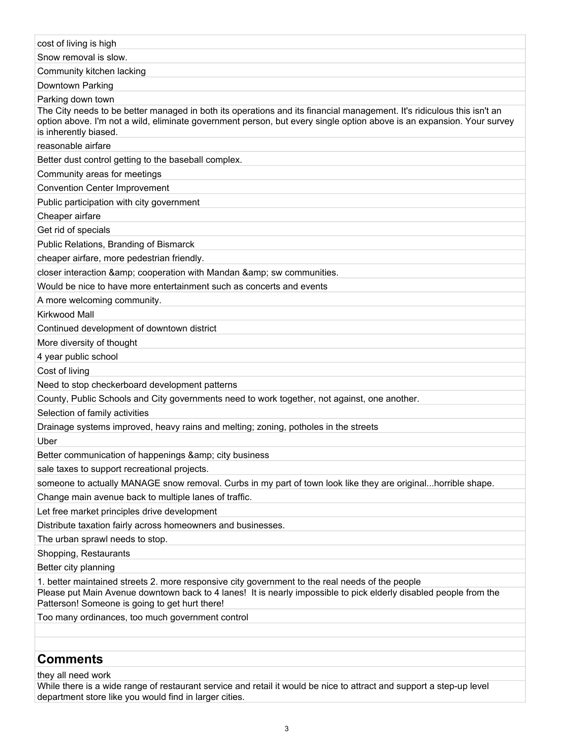| cost of living is high                                                                                                                                                                                                                                                   |
|--------------------------------------------------------------------------------------------------------------------------------------------------------------------------------------------------------------------------------------------------------------------------|
| Snow removal is slow.                                                                                                                                                                                                                                                    |
| Community kitchen lacking                                                                                                                                                                                                                                                |
| Downtown Parking                                                                                                                                                                                                                                                         |
| Parking down town                                                                                                                                                                                                                                                        |
| The City needs to be better managed in both its operations and its financial management. It's ridiculous this isn't an<br>option above. I'm not a wild, eliminate government person, but every single option above is an expansion. Your survey<br>is inherently biased. |
| reasonable airfare                                                                                                                                                                                                                                                       |
| Better dust control getting to the baseball complex.                                                                                                                                                                                                                     |
| Community areas for meetings                                                                                                                                                                                                                                             |
| <b>Convention Center Improvement</b>                                                                                                                                                                                                                                     |
| Public participation with city government                                                                                                                                                                                                                                |
| Cheaper airfare                                                                                                                                                                                                                                                          |
| Get rid of specials                                                                                                                                                                                                                                                      |
| Public Relations, Branding of Bismarck                                                                                                                                                                                                                                   |
| cheaper airfare, more pedestrian friendly.                                                                                                                                                                                                                               |
| closer interaction & amp; cooperation with Mandan & amp; sw communities.                                                                                                                                                                                                 |
| Would be nice to have more entertainment such as concerts and events                                                                                                                                                                                                     |
| A more welcoming community.                                                                                                                                                                                                                                              |
| Kirkwood Mall                                                                                                                                                                                                                                                            |
| Continued development of downtown district                                                                                                                                                                                                                               |
| More diversity of thought                                                                                                                                                                                                                                                |
| 4 year public school                                                                                                                                                                                                                                                     |
| Cost of living                                                                                                                                                                                                                                                           |
| Need to stop checkerboard development patterns                                                                                                                                                                                                                           |
| County, Public Schools and City governments need to work together, not against, one another.                                                                                                                                                                             |
| Selection of family activities                                                                                                                                                                                                                                           |
| Drainage systems improved, heavy rains and melting; zoning, potholes in the streets                                                                                                                                                                                      |
| Uber                                                                                                                                                                                                                                                                     |
| Better communication of happenings & city business                                                                                                                                                                                                                       |
| sale taxes to support recreational projects.                                                                                                                                                                                                                             |
| someone to actually MANAGE snow removal. Curbs in my part of town look like they are originalhorrible shape.                                                                                                                                                             |
| Change main avenue back to multiple lanes of traffic.                                                                                                                                                                                                                    |
| Let free market principles drive development                                                                                                                                                                                                                             |
| Distribute taxation fairly across homeowners and businesses.                                                                                                                                                                                                             |
| The urban sprawl needs to stop.                                                                                                                                                                                                                                          |
| Shopping, Restaurants                                                                                                                                                                                                                                                    |
| Better city planning                                                                                                                                                                                                                                                     |
| 1. better maintained streets 2. more responsive city government to the real needs of the people<br>Please put Main Avenue downtown back to 4 lanes! It is nearly impossible to pick elderly disabled people from the<br>Patterson! Someone is going to get hurt there!   |
| Too many ordinances, too much government control                                                                                                                                                                                                                         |
|                                                                                                                                                                                                                                                                          |
|                                                                                                                                                                                                                                                                          |

# **Comments**

# they all need work

While there is a wide range of restaurant service and retail it would be nice to attract and support a step-up level department store like you would find in larger cities.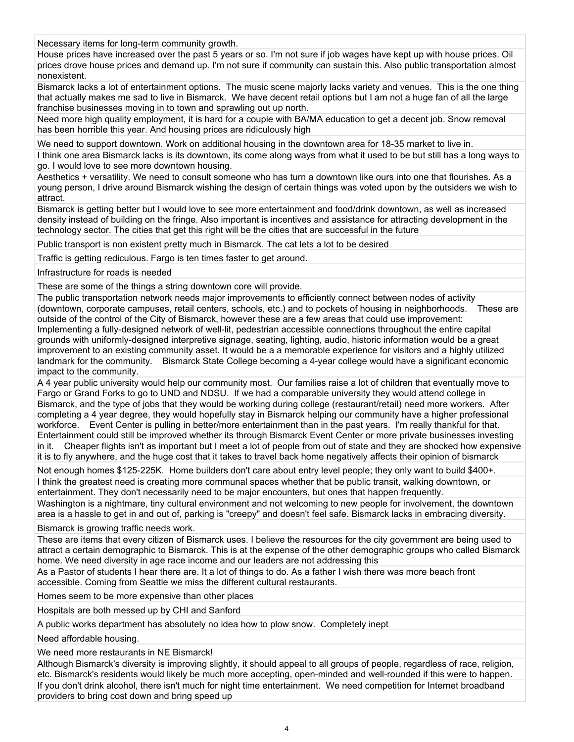Necessary items for long-term community growth.

House prices have increased over the past 5 years or so. I'm not sure if job wages have kept up with house prices. Oil prices drove house prices and demand up. I'm not sure if community can sustain this. Also public transportation almost nonexistent.

Bismarck lacks a lot of entertainment options. The music scene majorly lacks variety and venues. This is the one thing that actually makes me sad to live in Bismarck. We have decent retail options but I am not a huge fan of all the large franchise businesses moving in to town and sprawling out up north.

Need more high quality employment, it is hard for a couple with BA/MA education to get a decent job. Snow removal has been horrible this year. And housing prices are ridiculously high

We need to support downtown. Work on additional housing in the downtown area for 18-35 market to live in.

I think one area Bismarck lacks is its downtown, its come along ways from what it used to be but still has a long ways to go. I would love to see more downtown housing.

Aesthetics + versatility. We need to consult someone who has turn a downtown like ours into one that flourishes. As a young person, I drive around Bismarck wishing the design of certain things was voted upon by the outsiders we wish to attract.

Bismarck is getting better but I would love to see more entertainment and food/drink downtown, as well as increased density instead of building on the fringe. Also important is incentives and assistance for attracting development in the technology sector. The cities that get this right will be the cities that are successful in the future

Public transport is non existent pretty much in Bismarck. The cat lets a lot to be desired

Traffic is getting rediculous. Fargo is ten times faster to get around.

Infrastructure for roads is needed

These are some of the things a string downtown core will provide.

The public transportation network needs major improvements to efficiently connect between nodes of activity (downtown, corporate campuses, retail centers, schools, etc.) and to pockets of housing in neighborhoods. These are outside of the control of the City of Bismarck, however these are a few areas that could use improvement: Implementing a fully-designed network of well-lit, pedestrian accessible connections throughout the entire capital grounds with uniformly-designed interpretive signage, seating, lighting, audio, historic information would be a great improvement to an existing community asset. It would be a a memorable experience for visitors and a highly utilized landmark for the community. Bismarck State College becoming a 4-year college would have a significant economic impact to the community.

A 4 year public university would help our community most. Our families raise a lot of children that eventually move to Fargo or Grand Forks to go to UND and NDSU. If we had a comparable university they would attend college in Bismarck, and the type of jobs that they would be working during college (restaurant/retail) need more workers. After completing a 4 year degree, they would hopefully stay in Bismarck helping our community have a higher professional workforce. Event Center is pulling in better/more entertainment than in the past years. I'm really thankful for that. Entertainment could still be improved whether its through Bismarck Event Center or more private businesses investing in it. Cheaper flights isn't as important but I meet a lot of people from out of state and they are shocked how expensive it is to fly anywhere, and the huge cost that it takes to travel back home negatively affects their opinion of bismarck

Not enough homes \$125-225K. Home builders don't care about entry level people; they only want to build \$400+. I think the greatest need is creating more communal spaces whether that be public transit, walking downtown, or entertainment. They don't necessarily need to be major encounters, but ones that happen frequently. Washington is a nightmare, tiny cultural environment and not welcoming to new people for involvement, the downtown

area is a hassle to get in and out of, parking is "creepy" and doesn't feel safe. Bismarck lacks in embracing diversity.

Bismarck is growing traffic needs work.

These are items that every citizen of Bismarck uses. I believe the resources for the city government are being used to attract a certain demographic to Bismarck. This is at the expense of the other demographic groups who called Bismarck home. We need diversity in age race income and our leaders are not addressing this

As a Pastor of students I hear there are. It a lot of things to do. As a father I wish there was more beach front accessible. Coming from Seattle we miss the different cultural restaurants.

Homes seem to be more expensive than other places

Hospitals are both messed up by CHI and Sanford

A public works department has absolutely no idea how to plow snow. Completely inept

Need affordable housing.

We need more restaurants in NE Bismarck!

Although Bismarck's diversity is improving slightly, it should appeal to all groups of people, regardless of race, religion, etc. Bismarck's residents would likely be much more accepting, open-minded and well-rounded if this were to happen. If you don't drink alcohol, there isn't much for night time entertainment. We need competition for Internet broadband providers to bring cost down and bring speed up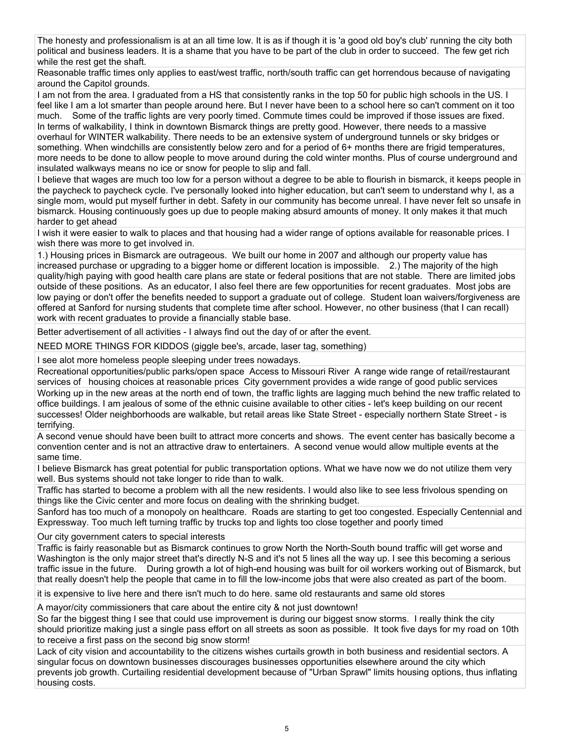The honesty and professionalism is at an all time low. It is as if though it is 'a good old boy's club' running the city both political and business leaders. It is a shame that you have to be part of the club in order to succeed. The few get rich while the rest get the shaft.

Reasonable traffic times only applies to east/west traffic, north/south traffic can get horrendous because of navigating around the Capitol grounds.

I am not from the area. I graduated from a HS that consistently ranks in the top 50 for public high schools in the US. I feel like I am a lot smarter than people around here. But I never have been to a school here so can't comment on it too much. Some of the traffic lights are very poorly timed. Commute times could be improved if those issues are fixed. In terms of walkability, I think in downtown Bismarck things are pretty good. However, there needs to a massive overhaul for WINTER walkability. There needs to be an extensive system of underground tunnels or sky bridges or something. When windchills are consistently below zero and for a period of 6+ months there are frigid temperatures, more needs to be done to allow people to move around during the cold winter months. Plus of course underground and insulated walkways means no ice or snow for people to slip and fall.

I believe that wages are much too low for a person without a degree to be able to flourish in bismarck, it keeps people in the paycheck to paycheck cycle. I've personally looked into higher education, but can't seem to understand why I, as a single mom, would put myself further in debt. Safety in our community has become unreal. I have never felt so unsafe in bismarck. Housing continuously goes up due to people making absurd amounts of money. It only makes it that much harder to get ahead

I wish it were easier to walk to places and that housing had a wider range of options available for reasonable prices. I wish there was more to get involved in.

1.) Housing prices in Bismarck are outrageous. We built our home in 2007 and although our property value has increased purchase or upgrading to a bigger home or different location is impossible. 2.) The majority of the high quality/high paying with good health care plans are state or federal positions that are not stable. There are limited jobs outside of these positions. As an educator, I also feel there are few opportunities for recent graduates. Most jobs are low paying or don't offer the benefits needed to support a graduate out of college. Student loan waivers/forgiveness are offered at Sanford for nursing students that complete time after school. However, no other business (that I can recall) work with recent graduates to provide a financially stable base.

Better advertisement of all activities - I always find out the day of or after the event.

NEED MORE THINGS FOR KIDDOS (giggle bee's, arcade, laser tag, something)

I see alot more homeless people sleeping under trees nowadays.

Recreational opportunities/public parks/open space Access to Missouri River A range wide range of retail/restaurant services of housing choices at reasonable prices City government provides a wide range of good public services Working up in the new areas at the north end of town, the traffic lights are lagging much behind the new traffic related to office buildings. I am jealous of some of the ethnic cuisine available to other cities - let's keep building on our recent successes! Older neighborhoods are walkable, but retail areas like State Street - especially northern State Street - is terrifying.

A second venue should have been built to attract more concerts and shows. The event center has basically become a convention center and is not an attractive draw to entertainers. A second venue would allow multiple events at the same time.

I believe Bismarck has great potential for public transportation options. What we have now we do not utilize them very well. Bus systems should not take longer to ride than to walk.

Traffic has started to become a problem with all the new residents. I would also like to see less frivolous spending on things like the Civic center and more focus on dealing with the shrinking budget.

Sanford has too much of a monopoly on healthcare. Roads are starting to get too congested. Especially Centennial and Expressway. Too much left turning traffic by trucks top and lights too close together and poorly timed

Our city government caters to special interests

Traffic is fairly reasonable but as Bismarck continues to grow North the North-South bound traffic will get worse and Washington is the only major street that's directly N-S and it's not 5 lines all the way up. I see this becoming a serious traffic issue in the future. During growth a lot of high-end housing was built for oil workers working out of Bismarck, but that really doesn't help the people that came in to fill the low-income jobs that were also created as part of the boom.

it is expensive to live here and there isn't much to do here. same old restaurants and same old stores

A mayor/city commissioners that care about the entire city & not just downtown!

So far the biggest thing I see that could use improvement is during our biggest snow storms. I really think the city should prioritize making just a single pass effort on all streets as soon as possible. It took five days for my road on 10th to receive a first pass on the second big snow storm!

Lack of city vision and accountability to the citizens wishes curtails growth in both business and residential sectors. A singular focus on downtown businesses discourages businesses opportunities elsewhere around the city which prevents job growth. Curtailing residential development because of "Urban Sprawl" limits housing options, thus inflating housing costs.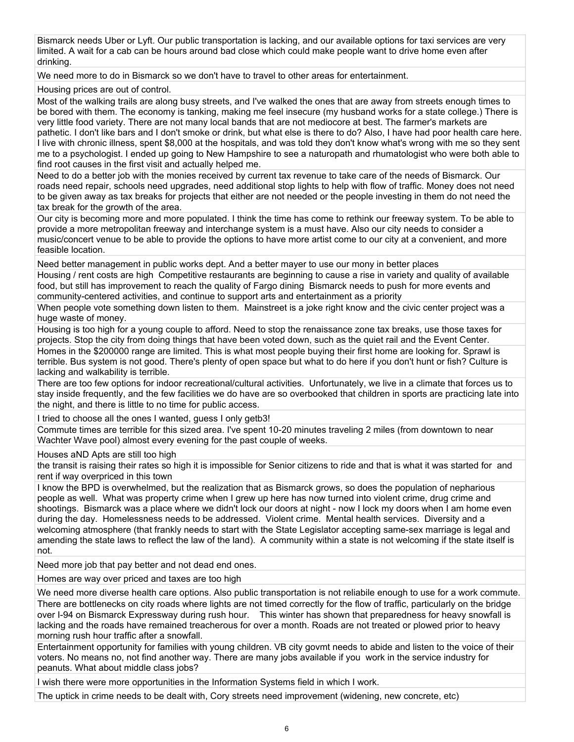Bismarck needs Uber or Lyft. Our public transportation is lacking, and our available options for taxi services are very limited. A wait for a cab can be hours around bad close which could make people want to drive home even after drinking.

We need more to do in Bismarck so we don't have to travel to other areas for entertainment.

Housing prices are out of control.

Most of the walking trails are along busy streets, and I've walked the ones that are away from streets enough times to be bored with them. The economy is tanking, making me feel insecure (my husband works for a state college.) There is very little food variety. There are not many local bands that are not mediocore at best. The farmer's markets are pathetic. I don't like bars and I don't smoke or drink, but what else is there to do? Also, I have had poor health care here. I live with chronic illness, spent \$8,000 at the hospitals, and was told they don't know what's wrong with me so they sent me to a psychologist. I ended up going to New Hampshire to see a naturopath and rhumatologist who were both able to find root causes in the first visit and actually helped me.

Need to do a better job with the monies received by current tax revenue to take care of the needs of Bismarck. Our roads need repair, schools need upgrades, need additional stop lights to help with flow of traffic. Money does not need to be given away as tax breaks for projects that either are not needed or the people investing in them do not need the tax break for the growth of the area.

Our city is becoming more and more populated. I think the time has come to rethink our freeway system. To be able to provide a more metropolitan freeway and interchange system is a must have. Also our city needs to consider a music/concert venue to be able to provide the options to have more artist come to our city at a convenient, and more feasible location.

Need better management in public works dept. And a better mayer to use our mony in better places Housing / rent costs are high Competitive restaurants are beginning to cause a rise in variety and quality of available food, but still has improvement to reach the quality of Fargo dining Bismarck needs to push for more events and community-centered activities, and continue to support arts and entertainment as a priority

When people vote something down listen to them. Mainstreet is a joke right know and the civic center project was a huge waste of money.

Housing is too high for a young couple to afford. Need to stop the renaissance zone tax breaks, use those taxes for projects. Stop the city from doing things that have been voted down, such as the quiet rail and the Event Center. Homes in the \$200000 range are limited. This is what most people buying their first home are looking for. Sprawl is terrible. Bus system is not good. There's plenty of open space but what to do here if you don't hunt or fish? Culture is lacking and walkability is terrible.

There are too few options for indoor recreational/cultural activities. Unfortunately, we live in a climate that forces us to stay inside frequently, and the few facilities we do have are so overbooked that children in sports are practicing late into the night, and there is little to no time for public access.

I tried to choose all the ones I wanted, guess I only getb3!

Commute times are terrible for this sized area. I've spent 10-20 minutes traveling 2 miles (from downtown to near Wachter Wave pool) almost every evening for the past couple of weeks.

Houses aND Apts are still too high

the transit is raising their rates so high it is impossible for Senior citizens to ride and that is what it was started for and rent if way overpriced in this town

I know the BPD is overwhelmed, but the realization that as Bismarck grows, so does the population of nepharious people as well. What was property crime when I grew up here has now turned into violent crime, drug crime and shootings. Bismarck was a place where we didn't lock our doors at night - now I lock my doors when I am home even during the day. Homelessness needs to be addressed. Violent crime. Mental health services. Diversity and a welcoming atmosphere (that frankly needs to start with the State Legislator accepting same-sex marriage is legal and amending the state laws to reflect the law of the land). A community within a state is not welcoming if the state itself is not.

Need more job that pay better and not dead end ones.

Homes are way over priced and taxes are too high

We need more diverse health care options. Also public transportation is not reliabile enough to use for a work commute. There are bottlenecks on city roads where lights are not timed correctly for the flow of traffic, particularly on the bridge over I-94 on Bismarck Expressway during rush hour. This winter has shown that preparedness for heavy snowfall is lacking and the roads have remained treacherous for over a month. Roads are not treated or plowed prior to heavy morning rush hour traffic after a snowfall.

Entertainment opportunity for families with young children. VB city govmt needs to abide and listen to the voice of their voters. No means no, not find another way. There are many jobs available if you work in the service industry for peanuts. What about middle class jobs?

I wish there were more opportunities in the Information Systems field in which I work.

The uptick in crime needs to be dealt with, Cory streets need improvement (widening, new concrete, etc)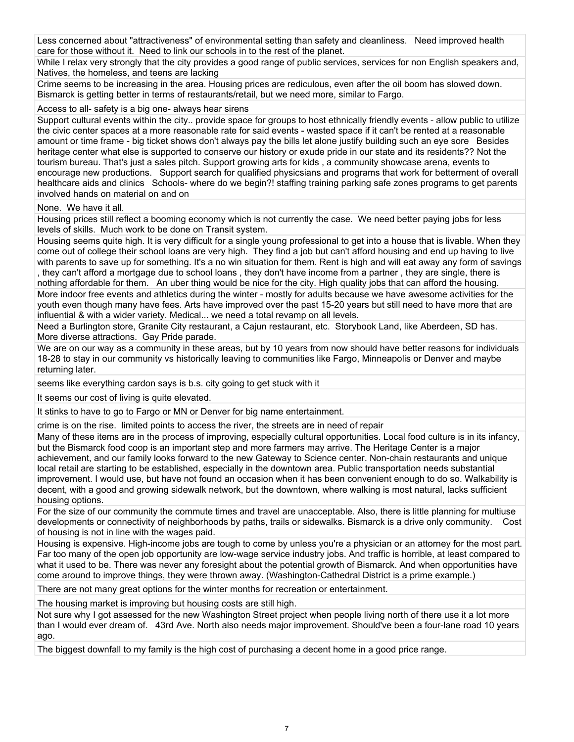Less concerned about "attractiveness" of environmental setting than safety and cleanliness. Need improved health care for those without it. Need to link our schools in to the rest of the planet.

While I relax very strongly that the city provides a good range of public services, services for non English speakers and, Natives, the homeless, and teens are lacking

Crime seems to be increasing in the area. Housing prices are rediculous, even after the oil boom has slowed down. Bismarck is getting better in terms of restaurants/retail, but we need more, similar to Fargo.

Access to all- safety is a big one- always hear sirens

Support cultural events within the city.. provide space for groups to host ethnically friendly events - allow public to utilize the civic center spaces at a more reasonable rate for said events - wasted space if it can't be rented at a reasonable amount or time frame - big ticket shows don't always pay the bills let alone justify building such an eye sore Besides heritage center what else is supported to conserve our history or exude pride in our state and its residents?? Not the tourism bureau. That's just a sales pitch. Support growing arts for kids , a community showcase arena, events to encourage new productions. Support search for qualified physicsians and programs that work for betterment of overall healthcare aids and clinics Schools- where do we begin?! staffing training parking safe zones programs to get parents involved hands on material on and on

None. We have it all.

Housing prices still reflect a booming economy which is not currently the case. We need better paying jobs for less levels of skills. Much work to be done on Transit system.

Housing seems quite high. It is very difficult for a single young professional to get into a house that is livable. When they come out of college their school loans are very high. They find a job but can't afford housing and end up having to live with parents to save up for something. It's a no win situation for them. Rent is high and will eat away any form of savings , they can't afford a mortgage due to school loans , they don't have income from a partner , they are single, there is nothing affordable for them. An uber thing would be nice for the city. High quality jobs that can afford the housing.

More indoor free events and athletics during the winter - mostly for adults because we have awesome activities for the youth even though many have fees. Arts have improved over the past 15-20 years but still need to have more that are influential & with a wider variety. Medical... we need a total revamp on all levels.

Need a Burlington store, Granite City restaurant, a Cajun restaurant, etc. Storybook Land, like Aberdeen, SD has. More diverse attractions. Gay Pride parade.

We are on our way as a community in these areas, but by 10 years from now should have better reasons for individuals 18-28 to stay in our community vs historically leaving to communities like Fargo, Minneapolis or Denver and maybe returning later.

seems like everything cardon says is b.s. city going to get stuck with it

It seems our cost of living is quite elevated.

It stinks to have to go to Fargo or MN or Denver for big name entertainment.

crime is on the rise. limited points to access the river, the streets are in need of repair

Many of these items are in the process of improving, especially cultural opportunities. Local food culture is in its infancy, but the Bismarck food coop is an important step and more farmers may arrive. The Heritage Center is a major achievement, and our family looks forward to the new Gateway to Science center. Non-chain restaurants and unique local retail are starting to be established, especially in the downtown area. Public transportation needs substantial improvement. I would use, but have not found an occasion when it has been convenient enough to do so. Walkability is decent, with a good and growing sidewalk network, but the downtown, where walking is most natural, lacks sufficient housing options.

For the size of our community the commute times and travel are unacceptable. Also, there is little planning for multiuse developments or connectivity of neighborhoods by paths, trails or sidewalks. Bismarck is a drive only community. Cost of housing is not in line with the wages paid.

Housing is expensive. High-income jobs are tough to come by unless you're a physician or an attorney for the most part. Far too many of the open job opportunity are low-wage service industry jobs. And traffic is horrible, at least compared to what it used to be. There was never any foresight about the potential growth of Bismarck. And when opportunities have come around to improve things, they were thrown away. (Washington-Cathedral District is a prime example.)

There are not many great options for the winter months for recreation or entertainment.

The housing market is improving but housing costs are still high.

Not sure why I got assessed for the new Washington Street project when people living north of there use it a lot more than I would ever dream of. 43rd Ave. North also needs major improvement. Should've been a four-lane road 10 years ago.

The biggest downfall to my family is the high cost of purchasing a decent home in a good price range.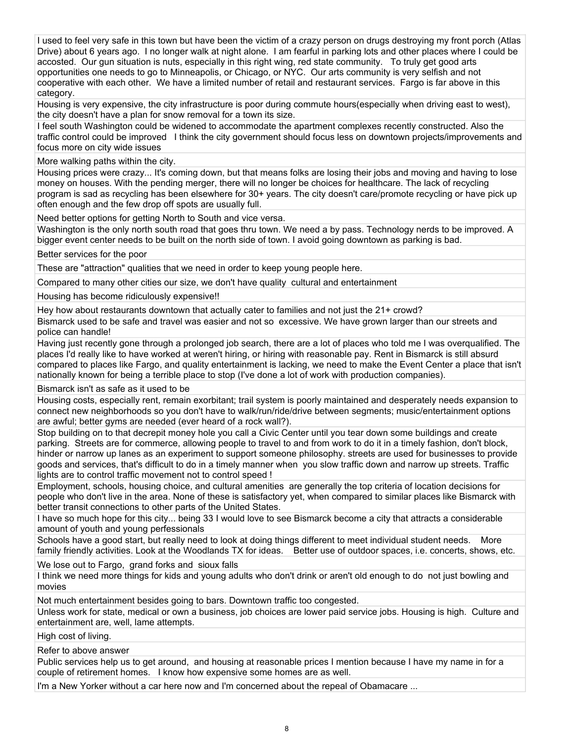I used to feel very safe in this town but have been the victim of a crazy person on drugs destroying my front porch (Atlas Drive) about 6 years ago. I no longer walk at night alone. I am fearful in parking lots and other places where I could be accosted. Our gun situation is nuts, especially in this right wing, red state community. To truly get good arts opportunities one needs to go to Minneapolis, or Chicago, or NYC. Our arts community is very selfish and not cooperative with each other. We have a limited number of retail and restaurant services. Fargo is far above in this category.

Housing is very expensive, the city infrastructure is poor during commute hours(especially when driving east to west), the city doesn't have a plan for snow removal for a town its size.

I feel south Washington could be widened to accommodate the apartment complexes recently constructed. Also the traffic control could be improved I think the city government should focus less on downtown projects/improvements and focus more on city wide issues

More walking paths within the city.

Housing prices were crazy... It's coming down, but that means folks are losing their jobs and moving and having to lose money on houses. With the pending merger, there will no longer be choices for healthcare. The lack of recycling program is sad as recycling has been elsewhere for 30+ years. The city doesn't care/promote recycling or have pick up often enough and the few drop off spots are usually full.

Need better options for getting North to South and vice versa.

Washington is the only north south road that goes thru town. We need a by pass. Technology nerds to be improved. A bigger event center needs to be built on the north side of town. I avoid going downtown as parking is bad.

Better services for the poor

These are "attraction" qualities that we need in order to keep young people here.

Compared to many other cities our size, we don't have quality cultural and entertainment

Housing has become ridiculously expensive!!

Hey how about restaurants downtown that actually cater to families and not just the 21+ crowd?

Bismarck used to be safe and travel was easier and not so excessive. We have grown larger than our streets and police can handle!

Having just recently gone through a prolonged job search, there are a lot of places who told me I was overqualified. The places I'd really like to have worked at weren't hiring, or hiring with reasonable pay. Rent in Bismarck is still absurd compared to places like Fargo, and quality entertainment is lacking, we need to make the Event Center a place that isn't nationally known for being a terrible place to stop (I've done a lot of work with production companies).

Bismarck isn't as safe as it used to be

Housing costs, especially rent, remain exorbitant; trail system is poorly maintained and desperately needs expansion to connect new neighborhoods so you don't have to walk/run/ride/drive between segments; music/entertainment options are awful; better gyms are needed (ever heard of a rock wall?).

Stop building on to that decrepit money hole you call a Civic Center until you tear down some buildings and create parking. Streets are for commerce, allowing people to travel to and from work to do it in a timely fashion, don't block, hinder or narrow up lanes as an experiment to support someone philosophy. streets are used for businesses to provide goods and services, that's difficult to do in a timely manner when you slow traffic down and narrow up streets. Traffic lights are to control traffic movement not to control speed !

Employment, schools, housing choice, and cultural amenities are generally the top criteria of location decisions for people who don't live in the area. None of these is satisfactory yet, when compared to similar places like Bismarck with better transit connections to other parts of the United States.

I have so much hope for this city... being 33 I would love to see Bismarck become a city that attracts a considerable amount of youth and young perfessionals

Schools have a good start, but really need to look at doing things different to meet individual student needs. More family friendly activities. Look at the Woodlands TX for ideas. Better use of outdoor spaces, i.e. concerts, shows, etc.

We lose out to Fargo, grand forks and sioux falls

I think we need more things for kids and young adults who don't drink or aren't old enough to do not just bowling and movies

Not much entertainment besides going to bars. Downtown traffic too congested.

Unless work for state, medical or own a business, job choices are lower paid service jobs. Housing is high. Culture and entertainment are, well, lame attempts.

High cost of living.

Refer to above answer

Public services help us to get around, and housing at reasonable prices I mention because I have my name in for a couple of retirement homes. I know how expensive some homes are as well.

I'm a New Yorker without a car here now and I'm concerned about the repeal of Obamacare ...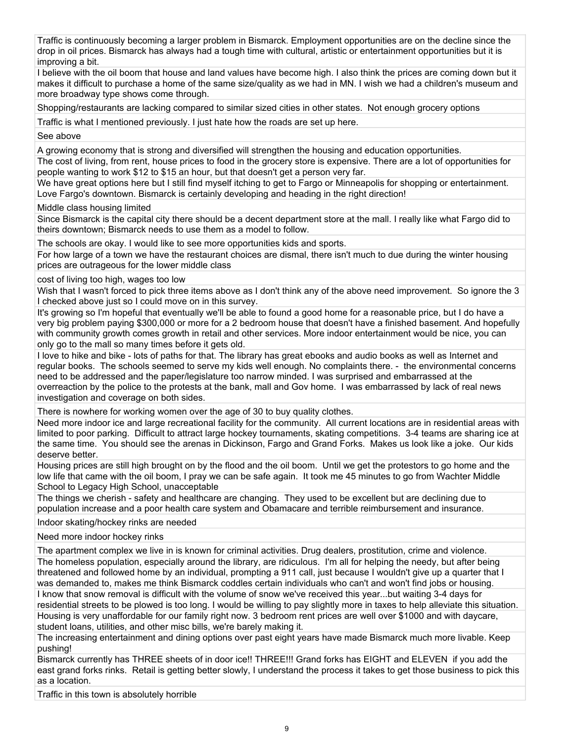Traffic is continuously becoming a larger problem in Bismarck. Employment opportunities are on the decline since the drop in oil prices. Bismarck has always had a tough time with cultural, artistic or entertainment opportunities but it is improving a bit.

I believe with the oil boom that house and land values have become high. I also think the prices are coming down but it makes it difficult to purchase a home of the same size/quality as we had in MN. I wish we had a children's museum and more broadway type shows come through.

Shopping/restaurants are lacking compared to similar sized cities in other states. Not enough grocery options

Traffic is what I mentioned previously. I just hate how the roads are set up here.

See above

A growing economy that is strong and diversified will strengthen the housing and education opportunities.

The cost of living, from rent, house prices to food in the grocery store is expensive. There are a lot of opportunities for people wanting to work \$12 to \$15 an hour, but that doesn't get a person very far.

We have great options here but I still find myself itching to get to Fargo or Minneapolis for shopping or entertainment. Love Fargo's downtown. Bismarck is certainly developing and heading in the right direction!

Middle class housing limited

Since Bismarck is the capital city there should be a decent department store at the mall. I really like what Fargo did to theirs downtown; Bismarck needs to use them as a model to follow.

The schools are okay. I would like to see more opportunities kids and sports.

For how large of a town we have the restaurant choices are dismal, there isn't much to due during the winter housing prices are outrageous for the lower middle class

cost of living too high, wages too low

Wish that I wasn't forced to pick three items above as I don't think any of the above need improvement. So ignore the 3 I checked above just so I could move on in this survey.

It's growing so I'm hopeful that eventually we'll be able to found a good home for a reasonable price, but I do have a very big problem paying \$300,000 or more for a 2 bedroom house that doesn't have a finished basement. And hopefully with community growth comes growth in retail and other services. More indoor entertainment would be nice, you can only go to the mall so many times before it gets old.

I love to hike and bike - lots of paths for that. The library has great ebooks and audio books as well as Internet and regular books. The schools seemed to serve my kids well enough. No complaints there. - the environmental concerns need to be addressed and the paper/legislature too narrow minded. I was surprised and embarrassed at the overreaction by the police to the protests at the bank, mall and Gov home. I was embarrassed by lack of real news investigation and coverage on both sides.

There is nowhere for working women over the age of 30 to buy quality clothes.

Need more indoor ice and large recreational facility for the community. All current locations are in residential areas with limited to poor parking. Difficult to attract large hockey tournaments, skating competitions. 3-4 teams are sharing ice at the same time. You should see the arenas in Dickinson, Fargo and Grand Forks. Makes us look like a joke. Our kids deserve better.

Housing prices are still high brought on by the flood and the oil boom. Until we get the protestors to go home and the low life that came with the oil boom, I pray we can be safe again. It took me 45 minutes to go from Wachter Middle School to Legacy High School, unacceptable

The things we cherish - safety and healthcare are changing. They used to be excellent but are declining due to population increase and a poor health care system and Obamacare and terrible reimbursement and insurance.

Indoor skating/hockey rinks are needed

Need more indoor hockey rinks

The apartment complex we live in is known for criminal activities. Drug dealers, prostitution, crime and violence. The homeless population, especially around the library, are ridiculous. I'm all for helping the needy, but after being threatened and followed home by an individual, prompting a 911 call, just because I wouldn't give up a quarter that I was demanded to, makes me think Bismarck coddles certain individuals who can't and won't find jobs or housing. I know that snow removal is difficult with the volume of snow we've received this year...but waiting 3-4 days for residential streets to be plowed is too long. I would be willing to pay slightly more in taxes to help alleviate this situation. Housing is very unaffordable for our family right now. 3 bedroom rent prices are well over \$1000 and with daycare, student loans, utilities, and other misc bills, we're barely making it.

The increasing entertainment and dining options over past eight years have made Bismarck much more livable. Keep pushing!

Bismarck currently has THREE sheets of in door ice!! THREE!!! Grand forks has EIGHT and ELEVEN if you add the east grand forks rinks. Retail is getting better slowly, I understand the process it takes to get those business to pick this as a location.

Traffic in this town is absolutely horrible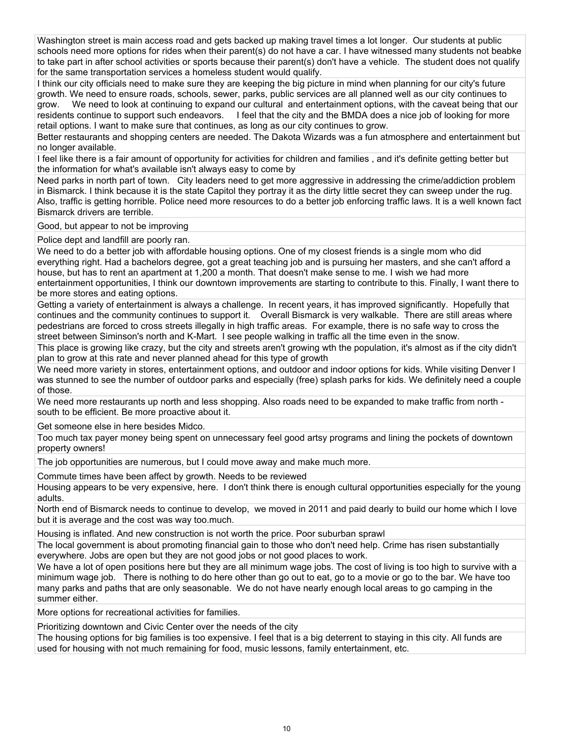Washington street is main access road and gets backed up making travel times a lot longer. Our students at public schools need more options for rides when their parent(s) do not have a car. I have witnessed many students not beabke to take part in after school activities or sports because their parent(s) don't have a vehicle. The student does not qualify for the same transportation services a homeless student would qualify.

I think our city officials need to make sure they are keeping the big picture in mind when planning for our city's future growth. We need to ensure roads, schools, sewer, parks, public services are all planned well as our city continues to grow. We need to look at continuing to expand our cultural and entertainment options, with the caveat being that our residents continue to support such endeavors. I feel that the city and the BMDA does a nice job of looking for more retail options. I want to make sure that continues, as long as our city continues to grow.

Better restaurants and shopping centers are needed. The Dakota Wizards was a fun atmosphere and entertainment but no longer available.

I feel like there is a fair amount of opportunity for activities for children and families , and it's definite getting better but the information for what's available isn't always easy to come by

Need parks in north part of town. City leaders need to get more aggressive in addressing the crime/addiction problem in Bismarck. I think because it is the state Capitol they portray it as the dirty little secret they can sweep under the rug. Also, traffic is getting horrible. Police need more resources to do a better job enforcing traffic laws. It is a well known fact Bismarck drivers are terrible.

Good, but appear to not be improving

Police dept and landfill are poorly ran.

We need to do a better job with affordable housing options. One of my closest friends is a single mom who did everything right. Had a bachelors degree, got a great teaching job and is pursuing her masters, and she can't afford a house, but has to rent an apartment at 1,200 a month. That doesn't make sense to me. I wish we had more entertainment opportunities, I think our downtown improvements are starting to contribute to this. Finally, I want there to be more stores and eating options.

Getting a variety of entertainment is always a challenge. In recent years, it has improved significantly. Hopefully that continues and the community continues to support it. Overall Bismarck is very walkable. There are still areas where pedestrians are forced to cross streets illegally in high traffic areas. For example, there is no safe way to cross the street between Siminson's north and K-Mart. I see people walking in traffic all the time even in the snow.

This place is growing like crazy, but the city and streets aren't growing wth the population, it's almost as if the city didn't plan to grow at this rate and never planned ahead for this type of growth

We need more variety in stores, entertainment options, and outdoor and indoor options for kids. While visiting Denver I was stunned to see the number of outdoor parks and especially (free) splash parks for kids. We definitely need a couple of those.

We need more restaurants up north and less shopping. Also roads need to be expanded to make traffic from north south to be efficient. Be more proactive about it.

Get someone else in here besides Midco.

Too much tax payer money being spent on unnecessary feel good artsy programs and lining the pockets of downtown property owners!

The job opportunities are numerous, but I could move away and make much more.

Commute times have been affect by growth. Needs to be reviewed

Housing appears to be very expensive, here. I don't think there is enough cultural opportunities especially for the young adults.

North end of Bismarck needs to continue to develop, we moved in 2011 and paid dearly to build our home which I love but it is average and the cost was way too.much.

Housing is inflated. And new construction is not worth the price. Poor suburban sprawl

The local government is about promoting financial gain to those who don't need help. Crime has risen substantially everywhere. Jobs are open but they are not good jobs or not good places to work.

We have a lot of open positions here but they are all minimum wage jobs. The cost of living is too high to survive with a minimum wage job. There is nothing to do here other than go out to eat, go to a movie or go to the bar. We have too many parks and paths that are only seasonable. We do not have nearly enough local areas to go camping in the summer either.

More options for recreational activities for families.

Prioritizing downtown and Civic Center over the needs of the city

The housing options for big families is too expensive. I feel that is a big deterrent to staying in this city. All funds are used for housing with not much remaining for food, music lessons, family entertainment, etc.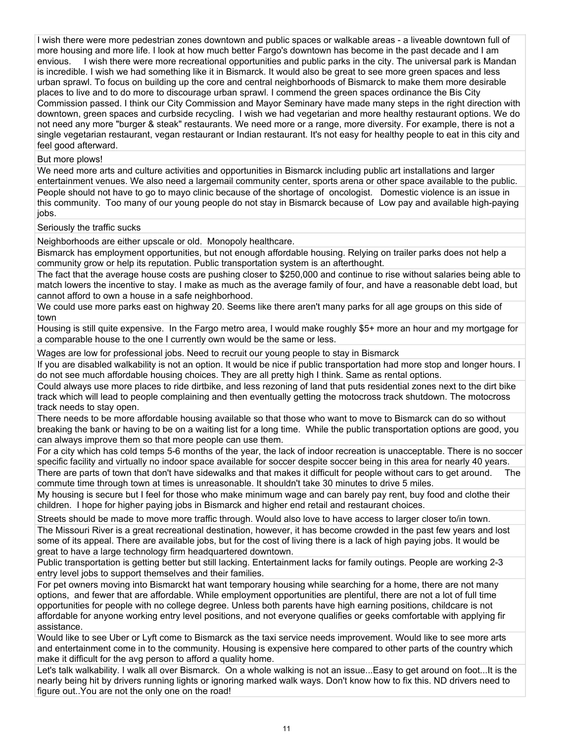I wish there were more pedestrian zones downtown and public spaces or walkable areas - a liveable downtown full of more housing and more life. I look at how much better Fargo's downtown has become in the past decade and I am envious. I wish there were more recreational opportunities and public parks in the city. The universal park is Mandan is incredible. I wish we had something like it in Bismarck. It would also be great to see more green spaces and less urban sprawl. To focus on building up the core and central neighborhoods of Bismarck to make them more desirable places to live and to do more to discourage urban sprawl. I commend the green spaces ordinance the Bis City Commission passed. I think our City Commission and Mayor Seminary have made many steps in the right direction with downtown, green spaces and curbside recycling. I wish we had vegetarian and more healthy restaurant options. We do not need any more "burger & steak" restaurants. We need more or a range, more diversity. For example, there is not a single vegetarian restaurant, vegan restaurant or Indian restaurant. It's not easy for healthy people to eat in this city and feel good afterward.

#### But more plows!

We need more arts and culture activities and opportunities in Bismarck including public art installations and larger entertainment venues. We also need a largemail community center, sports arena or other space available to the public. People should not have to go to mayo clinic because of the shortage of oncologist. Domestic violence is an issue in this community. Too many of our young people do not stay in Bismarck because of Low pay and available high-paying jobs.

Seriously the traffic sucks

Neighborhoods are either upscale or old. Monopoly healthcare.

Bismarck has employment opportunities, but not enough affordable housing. Relying on trailer parks does not help a community grow or help its reputation. Public transportation system is an afterthought.

The fact that the average house costs are pushing closer to \$250,000 and continue to rise without salaries being able to match lowers the incentive to stay. I make as much as the average family of four, and have a reasonable debt load, but cannot afford to own a house in a safe neighborhood.

We could use more parks east on highway 20. Seems like there aren't many parks for all age groups on this side of town

Housing is still quite expensive. In the Fargo metro area, I would make roughly \$5+ more an hour and my mortgage for a comparable house to the one I currently own would be the same or less.

Wages are low for professional jobs. Need to recruit our young people to stay in Bismarck

If you are disabled walkability is not an option. It would be nice if public transportation had more stop and longer hours. I do not see much affordable housing choices. They are all pretty high I think. Same as rental options.

Could always use more places to ride dirtbike, and less rezoning of land that puts residential zones next to the dirt bike track which will lead to people complaining and then eventually getting the motocross track shutdown. The motocross track needs to stay open.

There needs to be more affordable housing available so that those who want to move to Bismarck can do so without breaking the bank or having to be on a waiting list for a long time. While the public transportation options are good, you can always improve them so that more people can use them.

For a city which has cold temps 5-6 months of the year, the lack of indoor recreation is unacceptable. There is no soccer specific facility and virtually no indoor space available for soccer despite soccer being in this area for nearly 40 years. There are parts of town that don't have sidewalks and that makes it difficult for people without cars to get around. The

commute time through town at times is unreasonable. It shouldn't take 30 minutes to drive 5 miles.

My housing is secure but I feel for those who make minimum wage and can barely pay rent, buy food and clothe their children. I hope for higher paying jobs in Bismarck and higher end retail and restaurant choices.

Streets should be made to move more traffic through. Would also love to have access to larger closer to/in town. The Missouri River is a great recreational destination, however, it has become crowded in the past few years and lost some of its appeal. There are available jobs, but for the cost of living there is a lack of high paying jobs. It would be great to have a large technology firm headquartered downtown.

Public transportation is getting better but still lacking. Entertainment lacks for family outings. People are working 2-3 entry level jobs to support themselves and their families.

For pet owners moving into Bismarckt hat want temporary housing while searching for a home, there are not many options, and fewer that are affordable. While employment opportunities are plentiful, there are not a lot of full time opportunities for people with no college degree. Unless both parents have high earning positions, childcare is not affordable for anyone working entry level positions, and not everyone qualifies or geeks comfortable with applying fir assistance.

Would like to see Uber or Lyft come to Bismarck as the taxi service needs improvement. Would like to see more arts and entertainment come in to the community. Housing is expensive here compared to other parts of the country which make it difficult for the avg person to afford a quality home.

Let's talk walkability. I walk all over Bismarck. On a whole walking is not an issue...Easy to get around on foot...It is the nearly being hit by drivers running lights or ignoring marked walk ways. Don't know how to fix this. ND drivers need to figure out..You are not the only one on the road!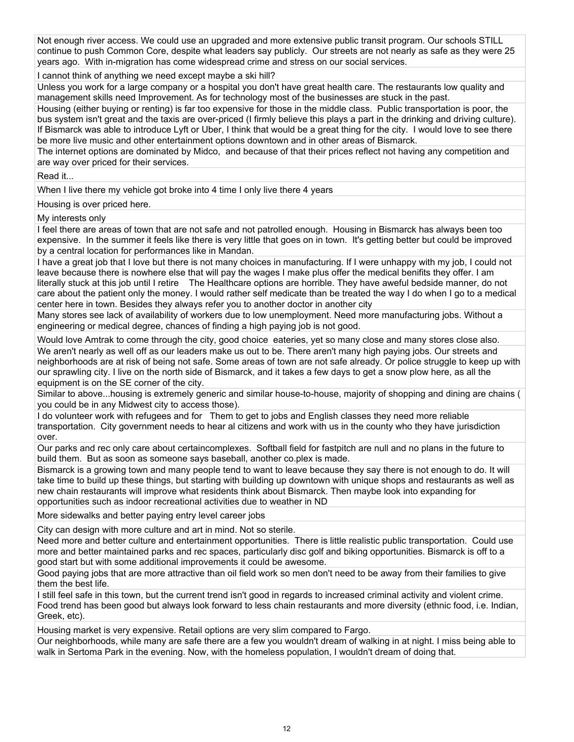Not enough river access. We could use an upgraded and more extensive public transit program. Our schools STILL continue to push Common Core, despite what leaders say publicly. Our streets are not nearly as safe as they were 25 years ago. With in-migration has come widespread crime and stress on our social services.

I cannot think of anything we need except maybe a ski hill?

Unless you work for a large company or a hospital you don't have great health care. The restaurants low quality and management skills need Improvement. As for technology most of the businesses are stuck in the past.

Housing (either buying or renting) is far too expensive for those in the middle class. Public transportation is poor, the bus system isn't great and the taxis are over-priced (I firmly believe this plays a part in the drinking and driving culture). If Bismarck was able to introduce Lyft or Uber, I think that would be a great thing for the city. I would love to see there be more live music and other entertainment options downtown and in other areas of Bismarck.

The internet options are dominated by Midco, and because of that their prices reflect not having any competition and are way over priced for their services.

Read it...

When I live there my vehicle got broke into 4 time I only live there 4 years

Housing is over priced here.

My interests only

I feel there are areas of town that are not safe and not patrolled enough. Housing in Bismarck has always been too expensive. In the summer it feels like there is very little that goes on in town. It's getting better but could be improved by a central location for performances like in Mandan.

I have a great job that I love but there is not many choices in manufacturing. If I were unhappy with my job, I could not leave because there is nowhere else that will pay the wages I make plus offer the medical benifits they offer. I am literally stuck at this job until I retire The Healthcare options are horrible. They have aweful bedside manner, do not care about the patient only the money. I would rather self medicate than be treated the way I do when I go to a medical center here in town. Besides they always refer you to another doctor in another city

Many stores see lack of availability of workers due to low unemployment. Need more manufacturing jobs. Without a engineering or medical degree, chances of finding a high paying job is not good.

Would love Amtrak to come through the city, good choice eateries, yet so many close and many stores close also. We aren't nearly as well off as our leaders make us out to be. There aren't many high paying jobs. Our streets and neighborhoods are at risk of being not safe. Some areas of town are not safe already. Or police struggle to keep up with our sprawling city. I live on the north side of Bismarck, and it takes a few days to get a snow plow here, as all the equipment is on the SE corner of the city.

Similar to above...housing is extremely generic and similar house-to-house, majority of shopping and dining are chains ( you could be in any Midwest city to access those).

I do volunteer work with refugees and for Them to get to jobs and English classes they need more reliable transportation. City government needs to hear al citizens and work with us in the county who they have jurisdiction over.

Our parks and rec only care about certaincomplexes. Softball field for fastpitch are null and no plans in the future to build them. But as soon as someone says baseball, another co.plex is made.

Bismarck is a growing town and many people tend to want to leave because they say there is not enough to do. It will take time to build up these things, but starting with building up downtown with unique shops and restaurants as well as new chain restaurants will improve what residents think about Bismarck. Then maybe look into expanding for opportunities such as indoor recreational activities due to weather in ND

More sidewalks and better paying entry level career jobs

City can design with more culture and art in mind. Not so sterile.

Need more and better culture and entertainment opportunities. There is little realistic public transportation. Could use more and better maintained parks and rec spaces, particularly disc golf and biking opportunities. Bismarck is off to a good start but with some additional improvements it could be awesome.

Good paying jobs that are more attractive than oil field work so men don't need to be away from their families to give them the best life.

I still feel safe in this town, but the current trend isn't good in regards to increased criminal activity and violent crime. Food trend has been good but always look forward to less chain restaurants and more diversity (ethnic food, i.e. Indian, Greek, etc).

Housing market is very expensive. Retail options are very slim compared to Fargo.

Our neighborhoods, while many are safe there are a few you wouldn't dream of walking in at night. I miss being able to walk in Sertoma Park in the evening. Now, with the homeless population, I wouldn't dream of doing that.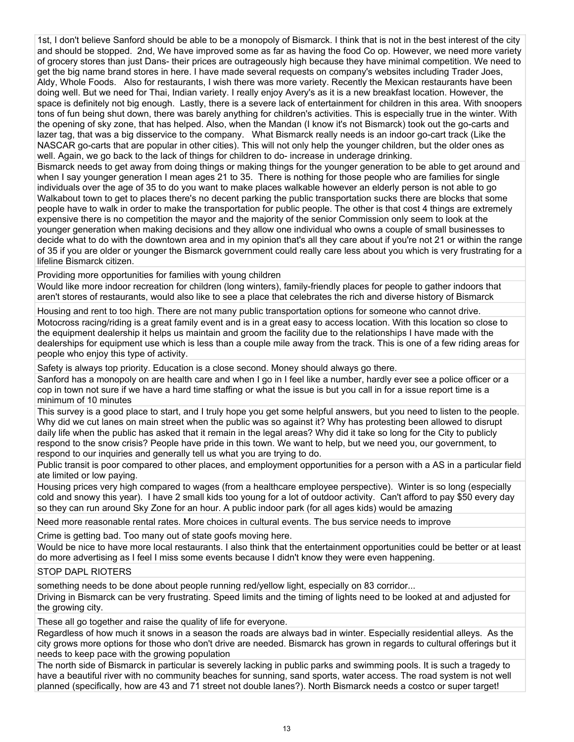1st, I don't believe Sanford should be able to be a monopoly of Bismarck. I think that is not in the best interest of the city and should be stopped. 2nd, We have improved some as far as having the food Co op. However, we need more variety of grocery stores than just Dans- their prices are outrageously high because they have minimal competition. We need to get the big name brand stores in here. I have made several requests on company's websites including Trader Joes, Aldy, Whole Foods. Also for restaurants, I wish there was more variety. Recently the Mexican restaurants have been doing well. But we need for Thai, Indian variety. I really enjoy Avery's as it is a new breakfast location. However, the space is definitely not big enough. Lastly, there is a severe lack of entertainment for children in this area. With snoopers tons of fun being shut down, there was barely anything for children's activities. This is especially true in the winter. With the opening of sky zone, that has helped. Also, when the Mandan (I know it's not Bismarck) took out the go-carts and lazer tag, that was a big disservice to the company. What Bismarck really needs is an indoor go-cart track (Like the NASCAR go-carts that are popular in other cities). This will not only help the younger children, but the older ones as well. Again, we go back to the lack of things for children to do- increase in underage drinking.

Bismarck needs to get away from doing things or making things for the younger generation to be able to get around and when I say younger generation I mean ages 21 to 35. There is nothing for those people who are families for single individuals over the age of 35 to do you want to make places walkable however an elderly person is not able to go Walkabout town to get to places there's no decent parking the public transportation sucks there are blocks that some people have to walk in order to make the transportation for public people. The other is that cost 4 things are extremely expensive there is no competition the mayor and the majority of the senior Commission only seem to look at the younger generation when making decisions and they allow one individual who owns a couple of small businesses to decide what to do with the downtown area and in my opinion that's all they care about if you're not 21 or within the range of 35 if you are older or younger the Bismarck government could really care less about you which is very frustrating for a lifeline Bismarck citizen.

Providing more opportunities for families with young children

Would like more indoor recreation for children (long winters), family-friendly places for people to gather indoors that aren't stores of restaurants, would also like to see a place that celebrates the rich and diverse history of Bismarck

Housing and rent to too high. There are not many public transportation options for someone who cannot drive. Motocross racing/riding is a great family event and is in a great easy to access location. With this location so close to the equipment dealership it helps us maintain and groom the facility due to the relationships I have made with the dealerships for equipment use which is less than a couple mile away from the track. This is one of a few riding areas for people who enjoy this type of activity.

Safety is always top priority. Education is a close second. Money should always go there.

Sanford has a monopoly on are health care and when I go in I feel like a number, hardly ever see a police officer or a cop in town not sure if we have a hard time staffing or what the issue is but you call in for a issue report time is a minimum of 10 minutes

This survey is a good place to start, and I truly hope you get some helpful answers, but you need to listen to the people. Why did we cut lanes on main street when the public was so against it? Why has protesting been allowed to disrupt daily life when the public has asked that it remain in the legal areas? Why did it take so long for the City to publicly respond to the snow crisis? People have pride in this town. We want to help, but we need you, our government, to respond to our inquiries and generally tell us what you are trying to do.

Public transit is poor compared to other places, and employment opportunities for a person with a AS in a particular field ate limited or low paying.

Housing prices very high compared to wages (from a healthcare employee perspective). Winter is so long (especially cold and snowy this year). I have 2 small kids too young for a lot of outdoor activity. Can't afford to pay \$50 every day so they can run around Sky Zone for an hour. A public indoor park (for all ages kids) would be amazing

Need more reasonable rental rates. More choices in cultural events. The bus service needs to improve

Crime is getting bad. Too many out of state goofs moving here.

Would be nice to have more local restaurants. I also think that the entertainment opportunities could be better or at least do more advertising as I feel I miss some events because I didn't know they were even happening.

# STOP DAPL RIOTERS

something needs to be done about people running red/yellow light, especially on 83 corridor...

Driving in Bismarck can be very frustrating. Speed limits and the timing of lights need to be looked at and adjusted for the growing city.

These all go together and raise the quality of life for everyone.

Regardless of how much it snows in a season the roads are always bad in winter. Especially residential alleys. As the city grows more options for those who don't drive are needed. Bismarck has grown in regards to cultural offerings but it needs to keep pace with the growing population

The north side of Bismarck in particular is severely lacking in public parks and swimming pools. It is such a tragedy to have a beautiful river with no community beaches for sunning, sand sports, water access. The road system is not well planned (specifically, how are 43 and 71 street not double lanes?). North Bismarck needs a costco or super target!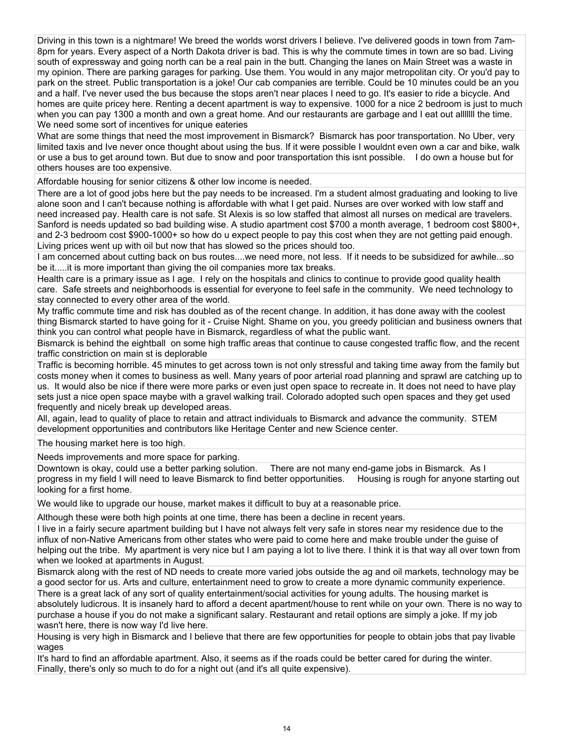Driving in this town is a nightmare! We breed the worlds worst drivers I believe. I've delivered goods in town from 7am-8pm for years. Every aspect of a North Dakota driver is bad. This is why the commute times in town are so bad. Living south of expressway and going north can be a real pain in the butt. Changing the lanes on Main Street was a waste in my opinion. There are parking garages for parking. Use them. You would in any major metropolitan city. Or you'd pay to park on the street. Public transportation is a joke! Our cab companies are terrible. Could be 10 minutes could be an you and a half. I've never used the bus because the stops aren't near places I need to go. It's easier to ride a bicycle. And homes are quite pricey here. Renting a decent apartment is way to expensive. 1000 for a nice 2 bedroom is just to much when you can pay 1300 a month and own a great home. And our restaurants are garbage and I eat out allillil the time. We need some sort of incentives for unique eateries

What are some things that need the most improvement in Bismarck? Bismarck has poor transportation. No Uber, very limited taxis and Ive never once thought about using the bus. If it were possible I wouldnt even own a car and bike, walk or use a bus to get around town. But due to snow and poor transportation this isnt possible. I do own a house but for others houses are too expensive.

Affordable housing for senior citizens & other low income is needed.

There are a lot of good jobs here but the pay needs to be increased. I'm a student almost graduating and looking to live alone soon and I can't because nothing is affordable with what I get paid. Nurses are over worked with low staff and need increased pay. Health care is not safe. St Alexis is so low staffed that almost all nurses on medical are travelers. Sanford is needs updated so bad building wise. A studio apartment cost \$700 a month average, 1 bedroom cost \$800+, and 2-3 bedroom cost \$900-1000+ so how do u expect people to pay this cost when they are not getting paid enough. Living prices went up with oil but now that has slowed so the prices should too.

I am concerned about cutting back on bus routes....we need more, not less. If it needs to be subsidized for awhile...so be it.....it is more important than giving the oil companies more tax breaks.

Health care is a primary issue as I age. I rely on the hospitals and clinics to continue to provide good quality health care. Safe streets and neighborhoods is essential for everyone to feel safe in the community. We need technology to stay connected to every other area of the world.

My traffic commute time and risk has doubled as of the recent change. In addition, it has done away with the coolest thing Bismarck started to have going for it - Cruise Night. Shame on you, you greedy politician and business owners that think you can control what people have in Bismarck, regardless of what the public want.

Bismarck is behind the eightball on some high traffic areas that continue to cause congested traffic flow, and the recent traffic constriction on main st is deplorable

Traffic is becoming horrible. 45 minutes to get across town is not only stressful and taking time away from the family but costs money when it comes to business as well. Many years of poor arterial road planning and sprawl are catching up to us. It would also be nice if there were more parks or even just open space to recreate in. It does not need to have play sets just a nice open space maybe with a gravel walking trail. Colorado adopted such open spaces and they get used frequently and nicely break up developed areas.

All, again, lead to quality of place to retain and attract individuals to Bismarck and advance the community. STEM development opportunities and contributors like Heritage Center and new Science center.

The housing market here is too high.

Needs improvements and more space for parking.

Downtown is okay, could use a better parking solution. There are not many end-game jobs in Bismarck. As I progress in my field I will need to leave Bismarck to find better opportunities. Housing is rough for anyone starting out looking for a first home.

We would like to upgrade our house, market makes it difficult to buy at a reasonable price.

Although these were both high points at one time, there has been a decline in recent years.

I live in a fairly secure apartment building but I have not always felt very safe in stores near my residence due to the influx of non-Native Americans from other states who were paid to come here and make trouble under the guise of helping out the tribe. My apartment is very nice but I am paying a lot to live there. I think it is that way all over town from when we looked at apartments in August.

Bismarck along with the rest of ND needs to create more varied jobs outside the ag and oil markets, technology may be a good sector for us. Arts and culture, entertainment need to grow to create a more dynamic community experience. There is a great lack of any sort of quality entertainment/social activities for young adults. The housing market is absolutely ludicrous. It is insanely hard to afford a decent apartment/house to rent while on your own. There is no way to purchase a house if you do not make a significant salary. Restaurant and retail options are simply a joke. If my job wasn't here, there is now way I'd live here.

Housing is very high in Bismarck and I believe that there are few opportunities for people to obtain jobs that pay livable wages

It's hard to find an affordable apartment. Also, it seems as if the roads could be better cared for during the winter. Finally, there's only so much to do for a night out (and it's all quite expensive).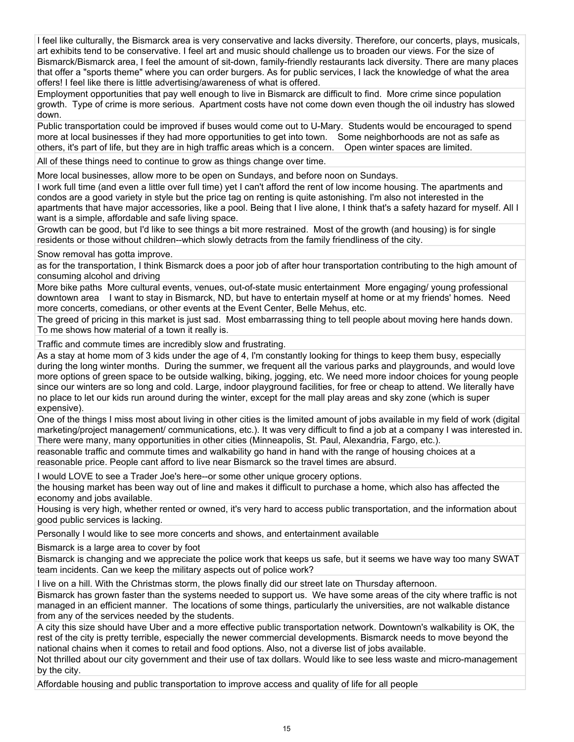I feel like culturally, the Bismarck area is very conservative and lacks diversity. Therefore, our concerts, plays, musicals, art exhibits tend to be conservative. I feel art and music should challenge us to broaden our views. For the size of Bismarck/Bismarck area, I feel the amount of sit-down, family-friendly restaurants lack diversity. There are many places that offer a "sports theme" where you can order burgers. As for public services, I lack the knowledge of what the area offers! I feel like there is little advertising/awareness of what is offered.

Employment opportunities that pay well enough to live in Bismarck are difficult to find. More crime since population growth. Type of crime is more serious. Apartment costs have not come down even though the oil industry has slowed down.

Public transportation could be improved if buses would come out to U-Mary. Students would be encouraged to spend more at local businesses if they had more opportunities to get into town. Some neighborhoods are not as safe as others, it's part of life, but they are in high traffic areas which is a concern. Open winter spaces are limited.

All of these things need to continue to grow as things change over time.

More local businesses, allow more to be open on Sundays, and before noon on Sundays.

I work full time (and even a little over full time) yet I can't afford the rent of low income housing. The apartments and condos are a good variety in style but the price tag on renting is quite astonishing. I'm also not interested in the apartments that have major accessories, like a pool. Being that I live alone, I think that's a safety hazard for myself. All I want is a simple, affordable and safe living space.

Growth can be good, but I'd like to see things a bit more restrained. Most of the growth (and housing) is for single residents or those without children--which slowly detracts from the family friendliness of the city.

Snow removal has gotta improve.

as for the transportation, I think Bismarck does a poor job of after hour transportation contributing to the high amount of consuming alcohol and driving

More bike paths More cultural events, venues, out-of-state music entertainment More engaging/ young professional downtown area I want to stay in Bismarck, ND, but have to entertain myself at home or at my friends' homes. Need more concerts, comedians, or other events at the Event Center, Belle Mehus, etc.

The greed of pricing in this market is just sad. Most embarrassing thing to tell people about moving here hands down. To me shows how material of a town it really is.

Traffic and commute times are incredibly slow and frustrating.

As a stay at home mom of 3 kids under the age of 4, I'm constantly looking for things to keep them busy, especially during the long winter months. During the summer, we frequent all the various parks and playgrounds, and would love more options of green space to be outside walking, biking, jogging, etc. We need more indoor choices for young people since our winters are so long and cold. Large, indoor playground facilities, for free or cheap to attend. We literally have no place to let our kids run around during the winter, except for the mall play areas and sky zone (which is super expensive).

One of the things I miss most about living in other cities is the limited amount of jobs available in my field of work (digital marketing/project management/ communications, etc.). It was very difficult to find a job at a company I was interested in. There were many, many opportunities in other cities (Minneapolis, St. Paul, Alexandria, Fargo, etc.).

reasonable traffic and commute times and walkability go hand in hand with the range of housing choices at a reasonable price. People cant afford to live near Bismarck so the travel times are absurd.

I would LOVE to see a Trader Joe's here--or some other unique grocery options.

the housing market has been way out of line and makes it difficult to purchase a home, which also has affected the economy and jobs available.

Housing is very high, whether rented or owned, it's very hard to access public transportation, and the information about good public services is lacking.

Personally I would like to see more concerts and shows, and entertainment available

Bismarck is a large area to cover by foot

Bismarck is changing and we appreciate the police work that keeps us safe, but it seems we have way too many SWAT team incidents. Can we keep the military aspects out of police work?

I live on a hill. With the Christmas storm, the plows finally did our street late on Thursday afternoon.

Bismarck has grown faster than the systems needed to support us. We have some areas of the city where traffic is not managed in an efficient manner. The locations of some things, particularly the universities, are not walkable distance from any of the services needed by the students.

A city this size should have Uber and a more effective public transportation network. Downtown's walkability is OK, the rest of the city is pretty terrible, especially the newer commercial developments. Bismarck needs to move beyond the national chains when it comes to retail and food options. Also, not a diverse list of jobs available.

Not thrilled about our city government and their use of tax dollars. Would like to see less waste and micro-management by the city.

Affordable housing and public transportation to improve access and quality of life for all people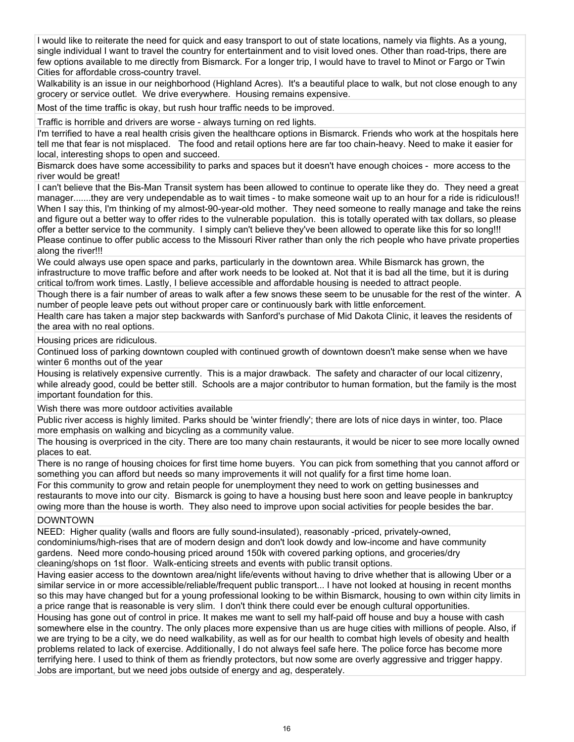I would like to reiterate the need for quick and easy transport to out of state locations, namely via flights. As a young, single individual I want to travel the country for entertainment and to visit loved ones. Other than road-trips, there are few options available to me directly from Bismarck. For a longer trip, I would have to travel to Minot or Fargo or Twin Cities for affordable cross-country travel.

Walkability is an issue in our neighborhood (Highland Acres). It's a beautiful place to walk, but not close enough to any grocery or service outlet. We drive everywhere. Housing remains expensive.

Most of the time traffic is okay, but rush hour traffic needs to be improved.

Traffic is horrible and drivers are worse - always turning on red lights.

I'm terrified to have a real health crisis given the healthcare options in Bismarck. Friends who work at the hospitals here tell me that fear is not misplaced. The food and retail options here are far too chain-heavy. Need to make it easier for local, interesting shops to open and succeed.

Bismarck does have some accessibility to parks and spaces but it doesn't have enough choices - more access to the river would be great!

I can't believe that the Bis-Man Transit system has been allowed to continue to operate like they do. They need a great manager.......they are very undependable as to wait times - to make someone wait up to an hour for a ride is ridiculous!! When I say this, I'm thinking of my almost-90-year-old mother. They need someone to really manage and take the reins and figure out a better way to offer rides to the vulnerable population. this is totally operated with tax dollars, so please offer a better service to the community. I simply can't believe they've been allowed to operate like this for so long!!! Please continue to offer public access to the Missouri River rather than only the rich people who have private properties along the river!!!

We could always use open space and parks, particularly in the downtown area. While Bismarck has grown, the infrastructure to move traffic before and after work needs to be looked at. Not that it is bad all the time, but it is during critical to/from work times. Lastly, I believe accessible and affordable housing is needed to attract people.

Though there is a fair number of areas to walk after a few snows these seem to be unusable for the rest of the winter. A number of people leave pets out without proper care or continuously bark with little enforcement.

Health care has taken a major step backwards with Sanford's purchase of Mid Dakota Clinic, it leaves the residents of the area with no real options.

#### Housing prices are ridiculous.

Continued loss of parking downtown coupled with continued growth of downtown doesn't make sense when we have winter 6 months out of the year

Housing is relatively expensive currently. This is a major drawback. The safety and character of our local citizenry, while already good, could be better still. Schools are a major contributor to human formation, but the family is the most important foundation for this.

Wish there was more outdoor activities available

Public river access is highly limited. Parks should be 'winter friendly'; there are lots of nice days in winter, too. Place more emphasis on walking and bicycling as a community value.

The housing is overpriced in the city. There are too many chain restaurants, it would be nicer to see more locally owned places to eat.

There is no range of housing choices for first time home buyers. You can pick from something that you cannot afford or something you can afford but needs so many improvements it will not qualify for a first time home loan.

For this community to grow and retain people for unemployment they need to work on getting businesses and restaurants to move into our city. Bismarck is going to have a housing bust here soon and leave people in bankruptcy owing more than the house is worth. They also need to improve upon social activities for people besides the bar.

# DOWNTOWN

NEED: Higher quality (walls and floors are fully sound-insulated), reasonably -priced, privately-owned, condominiums/high-rises that are of modern design and don't look dowdy and low-income and have community gardens. Need more condo-housing priced around 150k with covered parking options, and groceries/dry cleaning/shops on 1st floor. Walk-enticing streets and events with public transit options.

Having easier access to the downtown area/night life/events without having to drive whether that is allowing Uber or a similar service in or more accessible/reliable/frequent public transport... I have not looked at housing in recent months so this may have changed but for a young professional looking to be within Bismarck, housing to own within city limits in a price range that is reasonable is very slim. I don't think there could ever be enough cultural opportunities.

Housing has gone out of control in price. It makes me want to sell my half-paid off house and buy a house with cash somewhere else in the country. The only places more expensive than us are huge cities with millions of people. Also, if we are trying to be a city, we do need walkability, as well as for our health to combat high levels of obesity and health problems related to lack of exercise. Additionally, I do not always feel safe here. The police force has become more terrifying here. I used to think of them as friendly protectors, but now some are overly aggressive and trigger happy. Jobs are important, but we need jobs outside of energy and ag, desperately.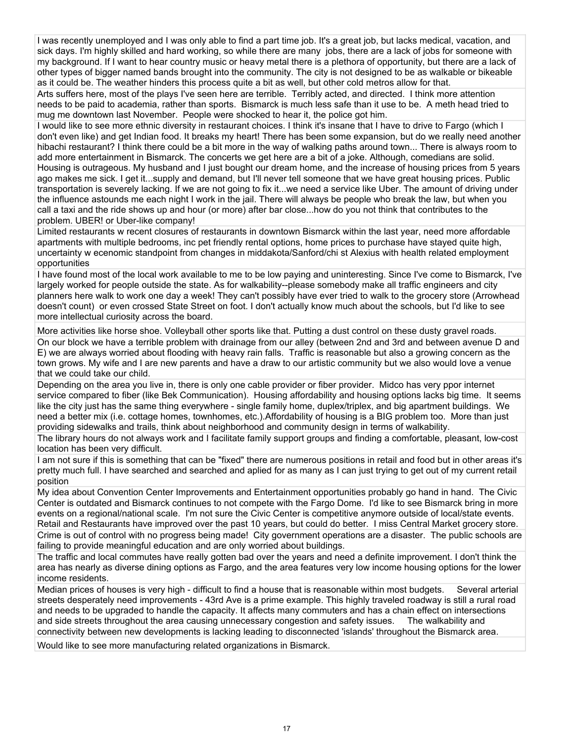I was recently unemployed and I was only able to find a part time job. It's a great job, but lacks medical, vacation, and sick days. I'm highly skilled and hard working, so while there are many jobs, there are a lack of jobs for someone with my background. If I want to hear country music or heavy metal there is a plethora of opportunity, but there are a lack of other types of bigger named bands brought into the community. The city is not designed to be as walkable or bikeable as it could be. The weather hinders this process quite a bit as well, but other cold metros allow for that.

Arts suffers here, most of the plays I've seen here are terrible. Terribly acted, and directed. I think more attention needs to be paid to academia, rather than sports. Bismarck is much less safe than it use to be. A meth head tried to mug me downtown last November. People were shocked to hear it, the police got him.

I would like to see more ethnic diversity in restaurant choices. I think it's insane that I have to drive to Fargo (which I don't even like) and get Indian food. It breaks my heart! There has been some expansion, but do we really need another hibachi restaurant? I think there could be a bit more in the way of walking paths around town... There is always room to add more entertainment in Bismarck. The concerts we get here are a bit of a joke. Although, comedians are solid. Housing is outrageous. My husband and I just bought our dream home, and the increase of housing prices from 5 years ago makes me sick. I get it...supply and demand, but I'll never tell someone that we have great housing prices. Public transportation is severely lacking. If we are not going to fix it...we need a service like Uber. The amount of driving under the influence astounds me each night I work in the jail. There will always be people who break the law, but when you call a taxi and the ride shows up and hour (or more) after bar close...how do you not think that contributes to the problem. UBER! or Uber-like company!

Limited restaurants w recent closures of restaurants in downtown Bismarck within the last year, need more affordable apartments with multiple bedrooms, inc pet friendly rental options, home prices to purchase have stayed quite high, uncertainty w ecenomic standpoint from changes in middakota/Sanford/chi st Alexius with health related employment opportunities

I have found most of the local work available to me to be low paying and uninteresting. Since I've come to Bismarck, I've largely worked for people outside the state. As for walkability--please somebody make all traffic engineers and city planners here walk to work one day a week! They can't possibly have ever tried to walk to the grocery store (Arrowhead doesn't count) or even crossed State Street on foot. I don't actually know much about the schools, but I'd like to see more intellectual curiosity across the board.

More activities like horse shoe. Volleyball other sports like that. Putting a dust control on these dusty gravel roads. On our block we have a terrible problem with drainage from our alley (between 2nd and 3rd and between avenue D and E) we are always worried about flooding with heavy rain falls. Traffic is reasonable but also a growing concern as the town grows. My wife and I are new parents and have a draw to our artistic community but we also would love a venue that we could take our child.

Depending on the area you live in, there is only one cable provider or fiber provider. Midco has very ppor internet service compared to fiber (like Bek Communication). Housing affordability and housing options lacks big time. It seems like the city just has the same thing everywhere - single family home, duplex/triplex, and big apartment buildings. We need a better mix (i.e. cottage homes, townhomes, etc.).Affordability of housing is a BIG problem too. More than just providing sidewalks and trails, think about neighborhood and community design in terms of walkability.

The library hours do not always work and I facilitate family support groups and finding a comfortable, pleasant, low-cost location has been very difficult.

I am not sure if this is something that can be "fixed" there are numerous positions in retail and food but in other areas it's pretty much full. I have searched and searched and aplied for as many as I can just trying to get out of my current retail position

My idea about Convention Center Improvements and Entertainment opportunities probably go hand in hand. The Civic Center is outdated and Bismarck continues to not compete with the Fargo Dome. I'd like to see Bismarck bring in more events on a regional/national scale. I'm not sure the Civic Center is competitive anymore outside of local/state events. Retail and Restaurants have improved over the past 10 years, but could do better. I miss Central Market grocery store. Crime is out of control with no progress being made! City government operations are a disaster. The public schools are failing to provide meaningful education and are only worried about buildings.

The traffic and local commutes have really gotten bad over the years and need a definite improvement. I don't think the area has nearly as diverse dining options as Fargo, and the area features very low income housing options for the lower income residents.

Median prices of houses is very high - difficult to find a house that is reasonable within most budgets. Several arterial streets desperately need improvements - 43rd Ave is a prime example. This highly traveled roadway is still a rural road and needs to be upgraded to handle the capacity. It affects many commuters and has a chain effect on intersections and side streets throughout the area causing unnecessary congestion and safety issues. The walkability and connectivity between new developments is lacking leading to disconnected 'islands' throughout the Bismarck area.

Would like to see more manufacturing related organizations in Bismarck.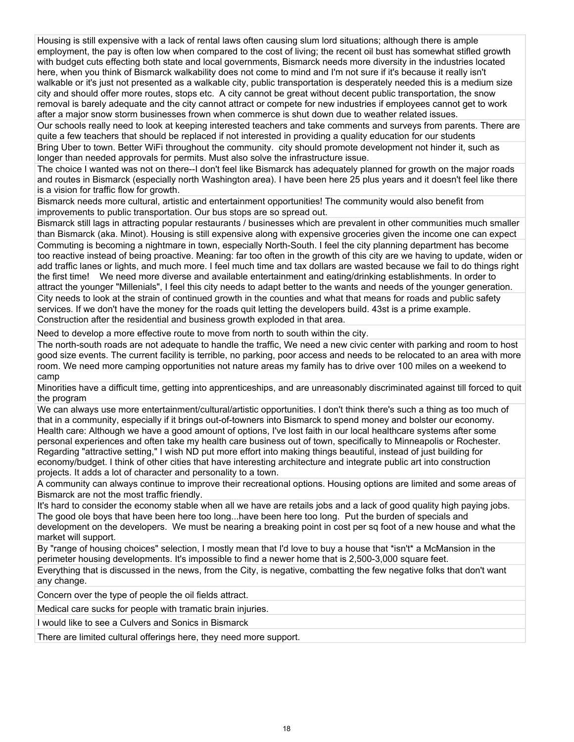Housing is still expensive with a lack of rental laws often causing slum lord situations; although there is ample employment, the pay is often low when compared to the cost of living; the recent oil bust has somewhat stifled growth with budget cuts effecting both state and local governments, Bismarck needs more diversity in the industries located here, when you think of Bismarck walkability does not come to mind and I'm not sure if it's because it really isn't walkable or it's just not presented as a walkable city, public transportation is desperately needed this is a medium size city and should offer more routes, stops etc. A city cannot be great without decent public transportation, the snow removal is barely adequate and the city cannot attract or compete for new industries if employees cannot get to work after a major snow storm businesses frown when commerce is shut down due to weather related issues.

Our schools really need to look at keeping interested teachers and take comments and surveys from parents. There are quite a few teachers that should be replaced if not interested in providing a quality education for our students

Bring Uber to town. Better WiFi throughout the community. city should promote development not hinder it, such as longer than needed approvals for permits. Must also solve the infrastructure issue.

The choice I wanted was not on there--I don't feel like Bismarck has adequately planned for growth on the major roads and routes in Bismarck (especially north Washington area). I have been here 25 plus years and it doesn't feel like there is a vision for traffic flow for growth.

Bismarck needs more cultural, artistic and entertainment opportunities! The community would also benefit from improvements to public transportation. Our bus stops are so spread out.

Bismarck still lags in attracting popular restaurants / businesses which are prevalent in other communities much smaller than Bismarck (aka. Minot). Housing is still expensive along with expensive groceries given the income one can expect Commuting is becoming a nightmare in town, especially North-South. I feel the city planning department has become too reactive instead of being proactive. Meaning: far too often in the growth of this city are we having to update, widen or add traffic lanes or lights, and much more. I feel much time and tax dollars are wasted because we fail to do things right the first time! We need more diverse and available entertainment and eating/drinking establishments. In order to attract the younger "Millenials", I feel this city needs to adapt better to the wants and needs of the younger generation. City needs to look at the strain of continued growth in the counties and what that means for roads and public safety services. If we don't have the money for the roads quit letting the developers build. 43st is a prime example. Construction after the residential and business growth exploded in that area.

Need to develop a more effective route to move from north to south within the city.

The north-south roads are not adequate to handle the traffic, We need a new civic center with parking and room to host good size events. The current facility is terrible, no parking, poor access and needs to be relocated to an area with more room. We need more camping opportunities not nature areas my family has to drive over 100 miles on a weekend to camp

Minorities have a difficult time, getting into apprenticeships, and are unreasonably discriminated against till forced to quit the program

We can always use more entertainment/cultural/artistic opportunities. I don't think there's such a thing as too much of that in a community, especially if it brings out-of-towners into Bismarck to spend money and bolster our economy. Health care: Although we have a good amount of options, I've lost faith in our local healthcare systems after some personal experiences and often take my health care business out of town, specifically to Minneapolis or Rochester. Regarding "attractive setting," I wish ND put more effort into making things beautiful, instead of just building for economy/budget. I think of other cities that have interesting architecture and integrate public art into construction projects. It adds a lot of character and personality to a town.

A community can always continue to improve their recreational options. Housing options are limited and some areas of Bismarck are not the most traffic friendly.

It's hard to consider the economy stable when all we have are retails jobs and a lack of good quality high paying jobs. The good ole boys that have been here too long...have been here too long. Put the burden of specials and development on the developers. We must be nearing a breaking point in cost per sq foot of a new house and what the market will support.

By "range of housing choices" selection, I mostly mean that I'd love to buy a house that \*isn't\* a McMansion in the perimeter housing developments. It's impossible to find a newer home that is 2,500-3,000 square feet. Everything that is discussed in the news, from the City, is negative, combatting the few negative folks that don't want any change.

Concern over the type of people the oil fields attract.

Medical care sucks for people with tramatic brain injuries.

I would like to see a Culvers and Sonics in Bismarck

There are limited cultural offerings here, they need more support.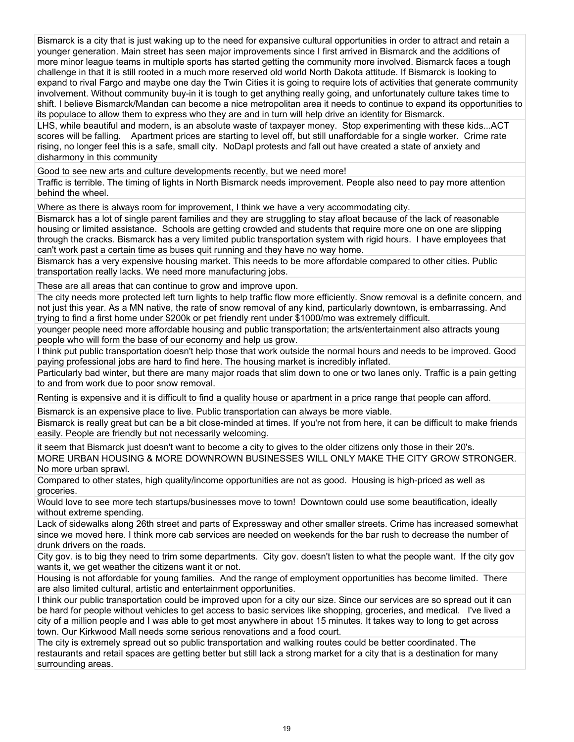Bismarck is a city that is just waking up to the need for expansive cultural opportunities in order to attract and retain a younger generation. Main street has seen major improvements since I first arrived in Bismarck and the additions of more minor league teams in multiple sports has started getting the community more involved. Bismarck faces a tough challenge in that it is still rooted in a much more reserved old world North Dakota attitude. If Bismarck is looking to expand to rival Fargo and maybe one day the Twin Cities it is going to require lots of activities that generate community involvement. Without community buy-in it is tough to get anything really going, and unfortunately culture takes time to shift. I believe Bismarck/Mandan can become a nice metropolitan area it needs to continue to expand its opportunities to its populace to allow them to express who they are and in turn will help drive an identity for Bismarck.

LHS, while beautiful and modern, is an absolute waste of taxpayer money. Stop experimenting with these kids...ACT scores will be falling. Apartment prices are starting to level off, but still unaffordable for a single worker. Crime rate rising, no longer feel this is a safe, small city. NoDapl protests and fall out have created a state of anxiety and disharmony in this community

Good to see new arts and culture developments recently, but we need more!

Traffic is terrible. The timing of lights in North Bismarck needs improvement. People also need to pay more attention behind the wheel.

Where as there is always room for improvement, I think we have a very accommodating city.

Bismarck has a lot of single parent families and they are struggling to stay afloat because of the lack of reasonable housing or limited assistance. Schools are getting crowded and students that require more one on one are slipping through the cracks. Bismarck has a very limited public transportation system with rigid hours. I have employees that can't work past a certain time as buses quit running and they have no way home.

Bismarck has a very expensive housing market. This needs to be more affordable compared to other cities. Public transportation really lacks. We need more manufacturing jobs.

These are all areas that can continue to grow and improve upon.

The city needs more protected left turn lights to help traffic flow more efficiently. Snow removal is a definite concern, and not just this year. As a MN native, the rate of snow removal of any kind, particularly downtown, is embarrassing. And trying to find a first home under \$200k or pet friendly rent under \$1000/mo was extremely difficult.

younger people need more affordable housing and public transportation; the arts/entertainment also attracts young people who will form the base of our economy and help us grow.

I think put public transportation doesn't help those that work outside the normal hours and needs to be improved. Good paying professional jobs are hard to find here. The housing market is incredibly inflated.

Particularly bad winter, but there are many major roads that slim down to one or two lanes only. Traffic is a pain getting to and from work due to poor snow removal.

Renting is expensive and it is difficult to find a quality house or apartment in a price range that people can afford.

Bismarck is an expensive place to live. Public transportation can always be more viable.

Bismarck is really great but can be a bit close-minded at times. If you're not from here, it can be difficult to make friends easily. People are friendly but not necessarily welcoming.

it seem that Bismarck just doesn't want to become a city to gives to the older citizens only those in their 20's. MORE URBAN HOUSING & MORE DOWNROWN BUSINESSES WILL ONLY MAKE THE CITY GROW STRONGER. No more urban sprawl.

Compared to other states, high quality/income opportunities are not as good. Housing is high-priced as well as groceries.

Would love to see more tech startups/businesses move to town! Downtown could use some beautification, ideally without extreme spending.

Lack of sidewalks along 26th street and parts of Expressway and other smaller streets. Crime has increased somewhat since we moved here. I think more cab services are needed on weekends for the bar rush to decrease the number of drunk drivers on the roads.

City gov. is to big they need to trim some departments. City gov. doesn't listen to what the people want. If the city gov wants it, we get weather the citizens want it or not.

Housing is not affordable for young families. And the range of employment opportunities has become limited. There are also limited cultural, artistic and entertainment opportunities.

I think our public transportation could be improved upon for a city our size. Since our services are so spread out it can be hard for people without vehicles to get access to basic services like shopping, groceries, and medical. I've lived a city of a million people and I was able to get most anywhere in about 15 minutes. It takes way to long to get across town. Our Kirkwood Mall needs some serious renovations and a food court.

The city is extremely spread out so public transportation and walking routes could be better coordinated. The restaurants and retail spaces are getting better but still lack a strong market for a city that is a destination for many surrounding areas.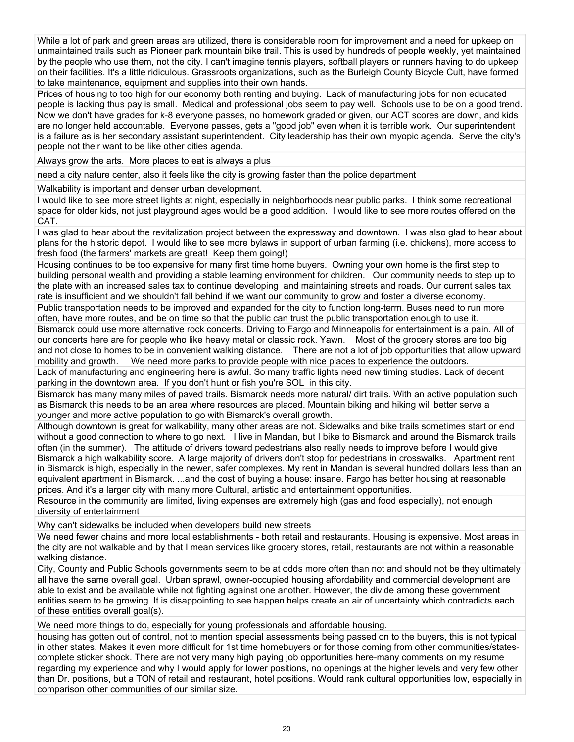While a lot of park and green areas are utilized, there is considerable room for improvement and a need for upkeep on unmaintained trails such as Pioneer park mountain bike trail. This is used by hundreds of people weekly, yet maintained by the people who use them, not the city. I can't imagine tennis players, softball players or runners having to do upkeep on their facilities. It's a little ridiculous. Grassroots organizations, such as the Burleigh County Bicycle Cult, have formed to take maintenance, equipment and supplies into their own hands.

Prices of housing to too high for our economy both renting and buying. Lack of manufacturing jobs for non educated people is lacking thus pay is small. Medical and professional jobs seem to pay well. Schools use to be on a good trend. Now we don't have grades for k-8 everyone passes, no homework graded or given, our ACT scores are down, and kids are no longer held accountable. Everyone passes, gets a "good job" even when it is terrible work. Our superintendent is a failure as is her secondary assistant superintendent. City leadership has their own myopic agenda. Serve the city's people not their want to be like other cities agenda.

Always grow the arts. More places to eat is always a plus

need a city nature center, also it feels like the city is growing faster than the police department

Walkability is important and denser urban development.

I would like to see more street lights at night, especially in neighborhoods near public parks. I think some recreational space for older kids, not just playground ages would be a good addition. I would like to see more routes offered on the CAT.

I was glad to hear about the revitalization project between the expressway and downtown. I was also glad to hear about plans for the historic depot. I would like to see more bylaws in support of urban farming (i.e. chickens), more access to fresh food (the farmers' markets are great! Keep them going!)

Housing continues to be too expensive for many first time home buyers. Owning your own home is the first step to building personal wealth and providing a stable learning environment for children. Our community needs to step up to the plate with an increased sales tax to continue developing and maintaining streets and roads. Our current sales tax rate is insufficient and we shouldn't fall behind if we want our community to grow and foster a diverse economy.

Public transportation needs to be improved and expanded for the city to function long-term. Buses need to run more often, have more routes, and be on time so that the public can trust the public transportation enough to use it.

Bismarck could use more alternative rock concerts. Driving to Fargo and Minneapolis for entertainment is a pain. All of our concerts here are for people who like heavy metal or classic rock. Yawn. Most of the grocery stores are too big and not close to homes to be in convenient walking distance. There are not a lot of job opportunities that allow upward mobility and growth. We need more parks to provide people with nice places to experience the outdoors.

Lack of manufacturing and engineering here is awful. So many traffic lights need new timing studies. Lack of decent parking in the downtown area. If you don't hunt or fish you're SOL in this city.

Bismarck has many many miles of paved trails. Bismarck needs more natural/ dirt trails. With an active population such as Bismarck this needs to be an area where resources are placed. Mountain biking and hiking will better serve a younger and more active population to go with Bismarck's overall growth.

Although downtown is great for walkability, many other areas are not. Sidewalks and bike trails sometimes start or end without a good connection to where to go next. I live in Mandan, but I bike to Bismarck and around the Bismarck trails often (in the summer). The attitude of drivers toward pedestrians also really needs to improve before I would give Bismarck a high walkability score. A large majority of drivers don't stop for pedestrians in crosswalks. Apartment rent in Bismarck is high, especially in the newer, safer complexes. My rent in Mandan is several hundred dollars less than an equivalent apartment in Bismarck. ...and the cost of buying a house: insane. Fargo has better housing at reasonable prices. And it's a larger city with many more Cultural, artistic and entertainment opportunities.

Resource in the community are limited, living expenses are extremely high (gas and food especially), not enough diversity of entertainment

Why can't sidewalks be included when developers build new streets

We need fewer chains and more local establishments - both retail and restaurants. Housing is expensive. Most areas in the city are not walkable and by that I mean services like grocery stores, retail, restaurants are not within a reasonable walking distance.

City, County and Public Schools governments seem to be at odds more often than not and should not be they ultimately all have the same overall goal. Urban sprawl, owner-occupied housing affordability and commercial development are able to exist and be available while not fighting against one another. However, the divide among these government entities seem to be growing. It is disappointing to see happen helps create an air of uncertainty which contradicts each of these entities overall goal(s).

We need more things to do, especially for young professionals and affordable housing.

housing has gotten out of control, not to mention special assessments being passed on to the buyers, this is not typical in other states. Makes it even more difficult for 1st time homebuyers or for those coming from other communities/statescomplete sticker shock. There are not very many high paying job opportunities here-many comments on my resume regarding my experience and why I would apply for lower positions, no openings at the higher levels and very few other than Dr. positions, but a TON of retail and restaurant, hotel positions. Would rank cultural opportunities low, especially in comparison other communities of our similar size.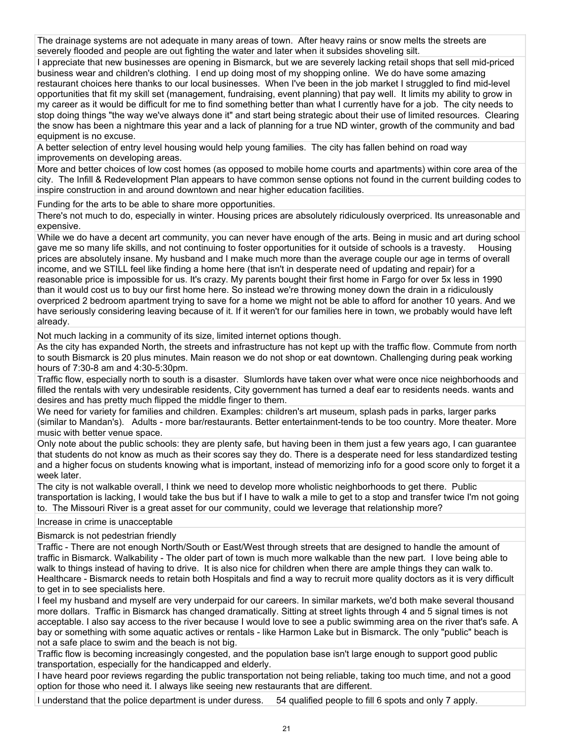The drainage systems are not adequate in many areas of town. After heavy rains or snow melts the streets are severely flooded and people are out fighting the water and later when it subsides shoveling silt.

I appreciate that new businesses are opening in Bismarck, but we are severely lacking retail shops that sell mid-priced business wear and children's clothing. I end up doing most of my shopping online. We do have some amazing restaurant choices here thanks to our local businesses. When I've been in the job market I struggled to find mid-level opportunities that fit my skill set (management, fundraising, event planning) that pay well. It limits my ability to grow in my career as it would be difficult for me to find something better than what I currently have for a job. The city needs to stop doing things "the way we've always done it" and start being strategic about their use of limited resources. Clearing the snow has been a nightmare this year and a lack of planning for a true ND winter, growth of the community and bad equipment is no excuse.

A better selection of entry level housing would help young families. The city has fallen behind on road way improvements on developing areas.

More and better choices of low cost homes (as opposed to mobile home courts and apartments) within core area of the city. The Infill & Redevelopment Plan appears to have common sense options not found in the current building codes to inspire construction in and around downtown and near higher education facilities.

Funding for the arts to be able to share more opportunities.

There's not much to do, especially in winter. Housing prices are absolutely ridiculously overpriced. Its unreasonable and expensive.

While we do have a decent art community, you can never have enough of the arts. Being in music and art during school gave me so many life skills, and not continuing to foster opportunities for it outside of schools is a travesty. Housing prices are absolutely insane. My husband and I make much more than the average couple our age in terms of overall income, and we STILL feel like finding a home here (that isn't in desperate need of updating and repair) for a reasonable price is impossible for us. It's crazy. My parents bought their first home in Fargo for over 5x less in 1990 than it would cost us to buy our first home here. So instead we're throwing money down the drain in a ridiculously overpriced 2 bedroom apartment trying to save for a home we might not be able to afford for another 10 years. And we have seriously considering leaving because of it. If it weren't for our families here in town, we probably would have left already.

Not much lacking in a community of its size, limited internet options though.

As the city has expanded North, the streets and infrastructure has not kept up with the traffic flow. Commute from north to south Bismarck is 20 plus minutes. Main reason we do not shop or eat downtown. Challenging during peak working hours of 7:30-8 am and 4:30-5:30pm.

Traffic flow, especially north to south is a disaster. Slumlords have taken over what were once nice neighborhoods and filled the rentals with very undesirable residents, City government has turned a deaf ear to residents needs. wants and desires and has pretty much flipped the middle finger to them.

We need for variety for families and children. Examples: children's art museum, splash pads in parks, larger parks (similar to Mandan's). Adults - more bar/restaurants. Better entertainment-tends to be too country. More theater. More music with better venue space.

Only note about the public schools: they are plenty safe, but having been in them just a few years ago, I can guarantee that students do not know as much as their scores say they do. There is a desperate need for less standardized testing and a higher focus on students knowing what is important, instead of memorizing info for a good score only to forget it a week later.

The city is not walkable overall, I think we need to develop more wholistic neighborhoods to get there. Public transportation is lacking, I would take the bus but if I have to walk a mile to get to a stop and transfer twice I'm not going to. The Missouri River is a great asset for our community, could we leverage that relationship more?

### Increase in crime is unacceptable

# Bismarck is not pedestrian friendly

Traffic - There are not enough North/South or East/West through streets that are designed to handle the amount of traffic in Bismarck. Walkability - The older part of town is much more walkable than the new part. I love being able to walk to things instead of having to drive. It is also nice for children when there are ample things they can walk to. Healthcare - Bismarck needs to retain both Hospitals and find a way to recruit more quality doctors as it is very difficult to get in to see specialists here.

I feel my husband and myself are very underpaid for our careers. In similar markets, we'd both make several thousand more dollars. Traffic in Bismarck has changed dramatically. Sitting at street lights through 4 and 5 signal times is not acceptable. I also say access to the river because I would love to see a public swimming area on the river that's safe. A bay or something with some aquatic actives or rentals - like Harmon Lake but in Bismarck. The only "public" beach is not a safe place to swim and the beach is not big.

Traffic flow is becoming increasingly congested, and the population base isn't large enough to support good public transportation, especially for the handicapped and elderly.

I have heard poor reviews regarding the public transportation not being reliable, taking too much time, and not a good option for those who need it. I always like seeing new restaurants that are different.

I understand that the police department is under duress. 54 qualified people to fill 6 spots and only 7 apply.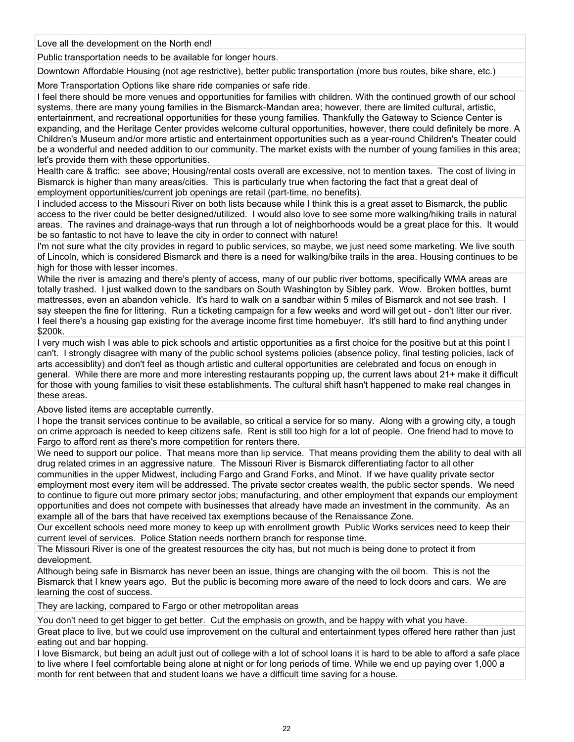Love all the development on the North end!

Public transportation needs to be available for longer hours.

Downtown Affordable Housing (not age restrictive), better public transportation (more bus routes, bike share, etc.)

More Transportation Options like share ride companies or safe ride.

I feel there should be more venues and opportunities for families with children. With the continued growth of our school systems, there are many young families in the Bismarck-Mandan area; however, there are limited cultural, artistic, entertainment, and recreational opportunities for these young families. Thankfully the Gateway to Science Center is expanding, and the Heritage Center provides welcome cultural opportunities, however, there could definitely be more. A Children's Museum and/or more artistic and entertainment opportunities such as a year-round Children's Theater could be a wonderful and needed addition to our community. The market exists with the number of young families in this area; let's provide them with these opportunities.

Health care & traffic: see above; Housing/rental costs overall are excessive, not to mention taxes. The cost of living in Bismarck is higher than many areas/cities. This is particularly true when factoring the fact that a great deal of employment opportunities/current job openings are retail (part-time, no benefits).

I included access to the Missouri River on both lists because while I think this is a great asset to Bismarck, the public access to the river could be better designed/utilized. I would also love to see some more walking/hiking trails in natural areas. The ravines and drainage-ways that run through a lot of neighborhoods would be a great place for this. It would be so fantastic to not have to leave the city in order to connect with nature!

I'm not sure what the city provides in regard to public services, so maybe, we just need some marketing. We live south of Lincoln, which is considered Bismarck and there is a need for walking/bike trails in the area. Housing continues to be high for those with lesser incomes.

While the river is amazing and there's plenty of access, many of our public river bottoms, specifically WMA areas are totally trashed. I just walked down to the sandbars on South Washington by Sibley park. Wow. Broken bottles, burnt mattresses, even an abandon vehicle. It's hard to walk on a sandbar within 5 miles of Bismarck and not see trash. I say steepen the fine for littering. Run a ticketing campaign for a few weeks and word will get out - don't litter our river. I feel there's a housing gap existing for the average income first time homebuyer. It's still hard to find anything under \$200k.

I very much wish I was able to pick schools and artistic opportunities as a first choice for the positive but at this point I can't. I strongly disagree with many of the public school systems policies (absence policy, final testing policies, lack of arts accessiblity) and don't feel as though artistic and culteral opportunities are celebrated and focus on enough in general. While there are more and more interesting restaurants popping up, the current laws about 21+ make it difficult for those with young families to visit these establishments. The cultural shift hasn't happened to make real changes in these areas.

Above listed items are acceptable currently.

I hope the transit services continue to be available, so critical a service for so many. Along with a growing city, a tough on crime approach is needed to keep citizens safe. Rent is still too high for a lot of people. One friend had to move to Fargo to afford rent as there's more competition for renters there.

We need to support our police. That means more than lip service. That means providing them the ability to deal with all drug related crimes in an aggressive nature. The Missouri River is Bismarck differentiating factor to all other communities in the upper Midwest, including Fargo and Grand Forks, and Minot. If we have quality private sector employment most every item will be addressed. The private sector creates wealth, the public sector spends. We need to continue to figure out more primary sector jobs; manufacturing, and other employment that expands our employment opportunities and does not compete with businesses that already have made an investment in the community. As an example all of the bars that have received tax exemptions because of the Renaissance Zone.

Our excellent schools need more money to keep up with enrollment growth Public Works services need to keep their current level of services. Police Station needs northern branch for response time.

The Missouri River is one of the greatest resources the city has, but not much is being done to protect it from development.

Although being safe in Bismarck has never been an issue, things are changing with the oil boom. This is not the Bismarck that I knew years ago. But the public is becoming more aware of the need to lock doors and cars. We are learning the cost of success.

They are lacking, compared to Fargo or other metropolitan areas

You don't need to get bigger to get better. Cut the emphasis on growth, and be happy with what you have. Great place to live, but we could use improvement on the cultural and entertainment types offered here rather than just eating out and bar hopping.

I love Bismarck, but being an adult just out of college with a lot of school loans it is hard to be able to afford a safe place to live where I feel comfortable being alone at night or for long periods of time. While we end up paying over 1,000 a month for rent between that and student loans we have a difficult time saving for a house.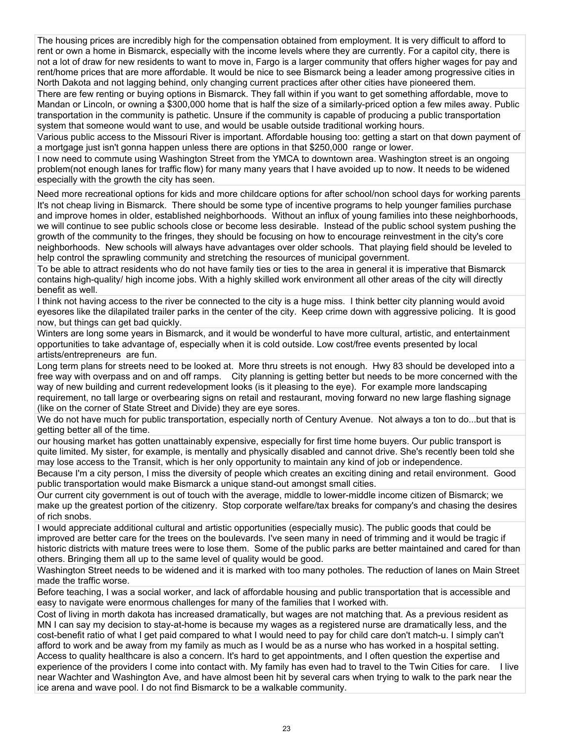The housing prices are incredibly high for the compensation obtained from employment. It is very difficult to afford to rent or own a home in Bismarck, especially with the income levels where they are currently. For a capitol city, there is not a lot of draw for new residents to want to move in, Fargo is a larger community that offers higher wages for pay and rent/home prices that are more affordable. It would be nice to see Bismarck being a leader among progressive cities in North Dakota and not lagging behind, only changing current practices after other cities have pioneered them.

There are few renting or buying options in Bismarck. They fall within if you want to get something affordable, move to Mandan or Lincoln, or owning a \$300,000 home that is half the size of a similarly-priced option a few miles away. Public transportation in the community is pathetic. Unsure if the community is capable of producing a public transportation system that someone would want to use, and would be usable outside traditional working hours.

Various public access to the Missouri River is important. Affordable housing too: getting a start on that down payment of a mortgage just isn't gonna happen unless there are options in that \$250,000 range or lower.

I now need to commute using Washington Street from the YMCA to downtown area. Washington street is an ongoing problem(not enough lanes for traffic flow) for many many years that I have avoided up to now. It needs to be widened especially with the growth the city has seen.

Need more recreational options for kids and more childcare options for after school/non school days for working parents

It's not cheap living in Bismarck. There should be some type of incentive programs to help younger families purchase and improve homes in older, established neighborhoods. Without an influx of young families into these neighborhoods, we will continue to see public schools close or become less desirable. Instead of the public school system pushing the growth of the community to the fringes, they should be focusing on how to encourage reinvestment in the city's core neighborhoods. New schools will always have advantages over older schools. That playing field should be leveled to help control the sprawling community and stretching the resources of municipal government.

To be able to attract residents who do not have family ties or ties to the area in general it is imperative that Bismarck contains high-quality/ high income jobs. With a highly skilled work environment all other areas of the city will directly benefit as well.

I think not having access to the river be connected to the city is a huge miss. I think better city planning would avoid eyesores like the dilapilated trailer parks in the center of the city. Keep crime down with aggressive policing. It is good now, but things can get bad quickly.

Winters are long some years in Bismarck, and it would be wonderful to have more cultural, artistic, and entertainment opportunities to take advantage of, especially when it is cold outside. Low cost/free events presented by local artists/entrepreneurs are fun.

Long term plans for streets need to be looked at. More thru streets is not enough. Hwy 83 should be developed into a free way with overpass and on and off ramps. City planning is getting better but needs to be more concerned with the way of new building and current redevelopment looks (is it pleasing to the eye). For example more landscaping requirement, no tall large or overbearing signs on retail and restaurant, moving forward no new large flashing signage (like on the corner of State Street and Divide) they are eye sores.

We do not have much for public transportation, especially north of Century Avenue. Not always a ton to do...but that is getting better all of the time.

our housing market has gotten unattainably expensive, especially for first time home buyers. Our public transport is quite limited. My sister, for example, is mentally and physically disabled and cannot drive. She's recently been told she may lose access to the Transit, which is her only opportunity to maintain any kind of job or independence.

Because I'm a city person, I miss the diversity of people which creates an exciting dining and retail environment. Good public transportation would make Bismarck a unique stand-out amongst small cities.

Our current city government is out of touch with the average, middle to lower-middle income citizen of Bismarck; we make up the greatest portion of the citizenry. Stop corporate welfare/tax breaks for company's and chasing the desires of rich snobs.

I would appreciate additional cultural and artistic opportunities (especially music). The public goods that could be improved are better care for the trees on the boulevards. I've seen many in need of trimming and it would be tragic if historic districts with mature trees were to lose them. Some of the public parks are better maintained and cared for than others. Bringing them all up to the same level of quality would be good.

Washington Street needs to be widened and it is marked with too many potholes. The reduction of lanes on Main Street made the traffic worse.

Before teaching, I was a social worker, and lack of affordable housing and public transportation that is accessible and easy to navigate were enormous challenges for many of the families that I worked with.

Cost of living in morth dakota has increased dramatically, but wages are not matching that. As a previous resident as MN I can say my decision to stay-at-home is because my wages as a registered nurse are dramatically less, and the cost-benefit ratio of what I get paid compared to what I would need to pay for child care don't match-u. I simply can't afford to work and be away from my family as much as I would be as a nurse who has worked in a hospital setting. Access to quality healthcare is also a concern. It's hard to get appointments, and I often question the expertise and experience of the providers I come into contact with. My family has even had to travel to the Twin Cities for care. I live near Wachter and Washington Ave, and have almost been hit by several cars when trying to walk to the park near the ice arena and wave pool. I do not find Bismarck to be a walkable community.